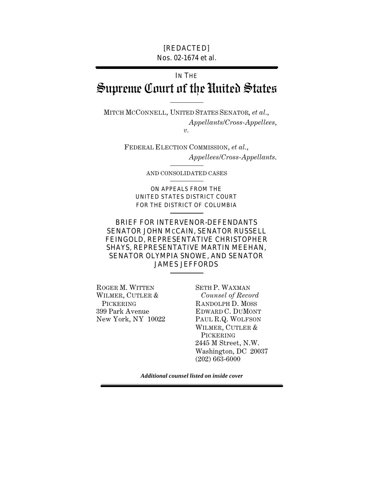#### [REDACTED] Nos. 02-1674 et al.

# IN THE Supreme Court of the United States

MITCH MCCONNELL, UNITED STATES SENATOR, *et al.*, *Appellants/Cross-Appellees*, *v.* 

> FEDERAL ELECTION COMMISSION, *et al.*, *Appellees/Cross-Appellants*.

> > AND CONSOLIDATED CASES

ON APPEALS FROM THE UNITED STATES DISTRICT COURT FOR THE DISTRICT OF COLUMBIA

### BRIEF FOR INTERVENOR-DEFENDANTS SENATOR JOHN MCCAIN, SENATOR RUSSELL FEINGOLD, REPRESENTATIVE CHRISTOPHER SHAYS, REPRESENTATIVE MARTIN MEEHAN, SENATOR OLYMPIA SNOWE, AND SENATOR JAMES JEFFORDS

ROGER M. WITTEN SETH P. WAXMAN WILMER, CUTLER & *Counsel of Record* 

PICKERING RANDOLPH D. MOSS 399 Park Avenue EDWARD C. DUMONT New York, NY 10022 PAUL R.Q. WOLFSON WILMER, CUTLER & PICKERING 2445 M Street, N.W. Washington, DC 20037 (202) 663-6000

*Additional counsel listed on inside cover*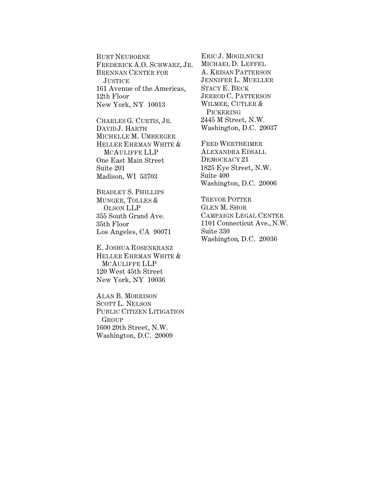BURT NEUBORNE FREDERICK A.O. SCHWARZ, JR. BRENNAN CENTER FOR **JUSTICE** 161 Avenue of the Americas, 12th Floor New York, NY 10013

CHARLES G. CURTIS, JR. DAVID J. HARTH MICHELLE M. UMBERGER HELLER EHRMAN WHITE & MCAULIFFE LLP One East Main Street Suite 201 Madison, WI 53703

BRADLEY S. PHILLIPS MUNGER, TOLLES & OLSON LLP 355 South Grand Ave. 35th Floor Los Angeles, CA 90071

E. JOSHUA ROSENKRANZ HELLER EHRMAN WHITE & MCAULIFFE LLP 120 West 45th Street New York, NY 10036

ALAN B. MORRISON SCOTT L. NELSON PUBLIC CITIZEN LITIGATION GROUP 1600 20th Street, N.W. Washington, D.C. 20009

ERIC J. MOGILNICKI MICHAEL D. LEFFEL A. KRISAN PATTERSON JENNIFER L. MUELLER STACY E. BECK JERROD C. PATTERSON WILMER, CUTLER & PICKERING 2445 M Street, N.W. Washington, D.C. 20037

FRED WERTHEIMER ALEXANDRA EDSALL DEMOCRACY 21 1825 Eye Street, N.W. Suite 400 Washington, D.C. 20006

TREVOR POTTER GLEN M. SHOR CAMPAIGN LEGAL CENTER 1101 Connecticut Ave., N.W. Suite 330 Washington, D.C. 20036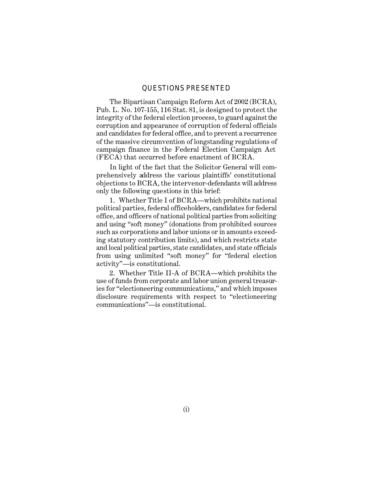#### QUESTIONS PRESENTED

The Bipartisan Campaign Reform Act of 2002 (BCRA), Pub. L. No. 107-155, 116 Stat. 81, is designed to protect the integrity of the federal election process, to guard against the corruption and appearance of corruption of federal officials and candidates for federal office, and to prevent a recurrence of the massive circumvention of longstanding regulations of campaign finance in the Federal Election Campaign Act (FECA) that occurred before enactment of BCRA.

In light of the fact that the Solicitor General will comprehensively address the various plaintiffs' constitutional objections to BCRA, the intervenor-defendants will address only the following questions in this brief:

1. Whether Title I of BCRA—which prohibits national political parties, federal officeholders, candidates for federal office, and officers of national political parties from soliciting and using "soft money" (donations from prohibited sources such as corporations and labor unions or in amounts exceeding statutory contribution limits), and which restricts state and local political parties, state candidates, and state officials from using unlimited "soft money" for "federal election activity"—is constitutional.

2. Whether Title II-A of BCRA—which prohibits the use of funds from corporate and labor union general treasuries for "electioneering communications," and which imposes disclosure requirements with respect to "electioneering communications"—is constitutional.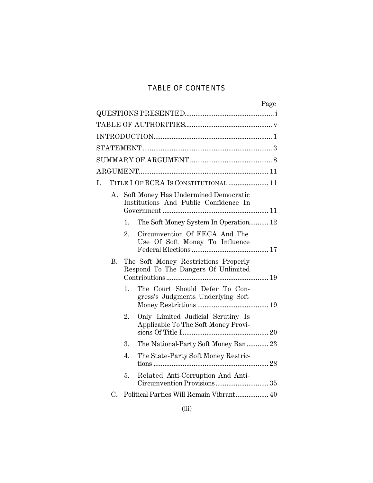## TABLE OF CONTENTS

|    |    | Page                                                                          |
|----|----|-------------------------------------------------------------------------------|
|    |    |                                                                               |
|    |    |                                                                               |
|    |    |                                                                               |
|    |    |                                                                               |
|    |    |                                                                               |
|    |    |                                                                               |
| I. |    | TITLE I OF BCRA IS CONSTITUTIONAL  11                                         |
| А. |    | Soft Money Has Undermined Democratic<br>Institutions And Public Confidence In |
|    | 1. | The Soft Money System In Operation 12                                         |
|    | 2. | Circumvention Of FECA And The<br>Use Of Soft Money To Influence               |
| В. |    | The Soft Money Restrictions Properly<br>Respond To The Dangers Of Unlimited   |
|    | 1. | The Court Should Defer To Con-<br>gress's Judgments Underlying Soft           |
|    | 2. | Only Limited Judicial Scrutiny Is<br>Applicable To The Soft Money Provi-      |
|    | 3. | The National-Party Soft Money Ban23                                           |
|    | 4. | The State-Party Soft Money Restric-                                           |
|    | 5. | Related Anti-Corruption And Anti-                                             |
| C. |    | Political Parties Will Remain Vibrant 40                                      |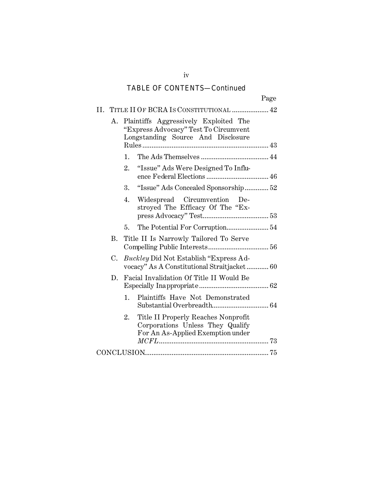## TABLE OF CONTENTS—Continued

|    |    | Page                                                                                                                 |
|----|----|----------------------------------------------------------------------------------------------------------------------|
|    |    | II. TITLE II OF BCRA IS CONSTITUTIONAL  42                                                                           |
| Α. |    | Plaintiffs Aggressively Exploited The<br>"Express Advocacy" Test To Circumvent<br>Longstanding Source And Disclosure |
|    | 1. |                                                                                                                      |
|    | 2. | "Issue" Ads Were Designed To Influ-                                                                                  |
|    | 3. | "Issue" Ads Concealed Sponsorship 52                                                                                 |
|    | 4. | Widespread Circumvention<br>De-<br>stroyed The Efficacy Of The "Ex-                                                  |
|    | 5. | The Potential For Corruption 54                                                                                      |
| В. |    | Title II Is Narrowly Tailored To Serve                                                                               |
| C. |    | <i>Buckley</i> Did Not Establish "Express Ad-<br>vocacy" As A Constitutional Straitjacket 60                         |
| D. |    | Facial Invalidation Of Title II Would Be                                                                             |
|    | 1. | Plaintiffs Have Not Demonstrated                                                                                     |
|    | 2. | Title II Properly Reaches Nonprofit<br>Corporations Unless They Qualify<br>For An As-Applied Exemption under         |
|    |    |                                                                                                                      |

iv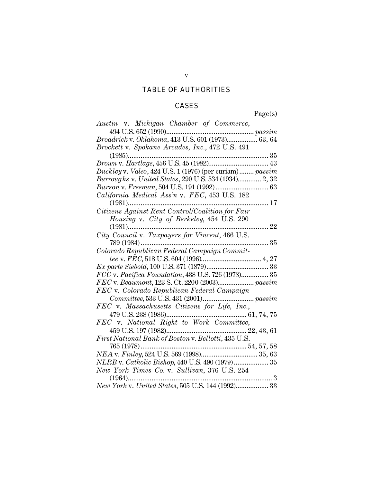## TABLE OF AUTHORITIES

### **CASES**

Page(s)

| Austin v. Michigan Chamber of Commerce,                                                                                  |
|--------------------------------------------------------------------------------------------------------------------------|
| 494 U.S. 652 (1990)                                                                                                      |
| $\begin{minipage}{0.99\textwidth} \begin{tabular}{l} \bf 494 U.S. 652 (1990) \\ \bf 63, 64 \end{tabular} \end{minipage}$ |
| Brockett v. Spokane Arcades, Inc., 472 U.S. 491                                                                          |
|                                                                                                                          |
|                                                                                                                          |
| Buckley v. Valeo, 424 U.S. 1 (1976) (per curiam) passim                                                                  |
| Burroughs v. United States, 290 U.S. 534 (1934) 2, 32                                                                    |
|                                                                                                                          |
| California Medical Ass'n v. FEC, 453 U.S. 182                                                                            |
| 17<br>$(1981)$                                                                                                           |
| Citizens Against Rent Control/Coalition for Fair                                                                         |
| Housing v. City of Berkeley, 454 U.S. 290                                                                                |
| 22                                                                                                                       |
| City Council v. Taxpayers for Vincent, 466 U.S.                                                                          |
| 35                                                                                                                       |
| Colorado Republican Federal Campaign Commit-                                                                             |
|                                                                                                                          |
|                                                                                                                          |
| FCC v. Pacifica Foundation, 438 U.S. 726 (1978) 35                                                                       |
|                                                                                                                          |
| FEC v. Colorado Republican Federal Campaign                                                                              |
|                                                                                                                          |
| FEC v. Massachusetts Citizens for Life, Inc.,                                                                            |
|                                                                                                                          |
|                                                                                                                          |
|                                                                                                                          |
| First National Bank of Boston v. Bellotti, 435 U.S.                                                                      |
| 765 (1978)                                                                                                               |
|                                                                                                                          |
| NLRB v. Catholic Bishop, 440 U.S. 490 (1979) 35                                                                          |
| New York Times Co. v. Sullivan, 376 U.S. 254                                                                             |
| 3<br>$(1964)$                                                                                                            |
| New York v. United States, 505 U.S. 144 (1992) 33                                                                        |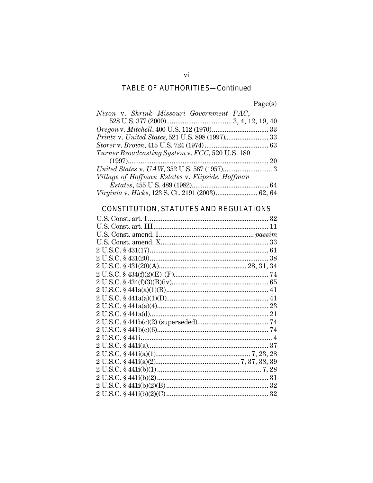## **TABLE OF AUTHORITIES-Continued**

Page(s)

| Nixon v. Shrink Missouri Government PAC,         |  |
|--------------------------------------------------|--|
|                                                  |  |
|                                                  |  |
| Printz v. United States, 521 U.S. 898 (1997) 33  |  |
|                                                  |  |
| Turner Broadcasting System v. FCC, 520 U.S. 180  |  |
|                                                  |  |
|                                                  |  |
| Village of Hoffman Estates v. Flipside, Hoffman  |  |
|                                                  |  |
| Virginia v. Hicks, 123 S. Ct. 2191 (2003) 62, 64 |  |

## **CONSTITUTION, STATUTES AND REGULATIONS**

 $\overline{\mathrm{vi}}$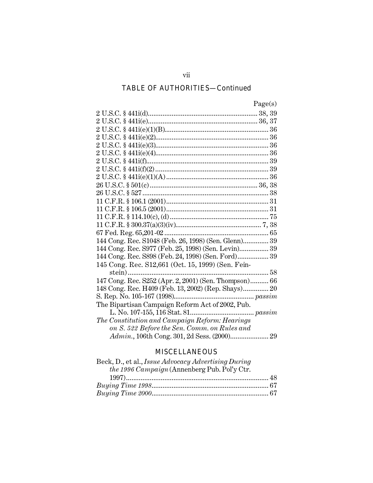## TABLE OF AUTHORITIES—Continued

| 19'PL | s |
|-------|---|

| 144 Cong. Rec. S1048 (Feb. 26, 1998) (Sen. Glenn) 39  |
|-------------------------------------------------------|
| 144 Cong. Rec. S977 (Feb. 25, 1998) (Sen. Levin) 39   |
| 144 Cong. Rec. S898 (Feb. 24, 1998) (Sen. Ford) 39    |
| 145 Cong. Rec. S12,661 (Oct. 15, 1999) (Sen. Fein-    |
| stein)                                                |
| 147 Cong. Rec. S252 (Apr. 2, 2001) (Sen. Thompson) 66 |
| 148 Cong. Rec. H409 (Feb. 13, 2002) (Rep. Shays) 20   |
|                                                       |
| The Bipartisan Campaign Reform Act of 2002, Pub.      |
|                                                       |
| The Constitution and Campaign Reform: Hearings        |
| on S. 522 Before the Sen. Comm. on Rules and          |
| Admin., 106th Cong. 301, 2d Sess. (2000) 29           |
|                                                       |

## MISCELLANEOUS

| Beck, D., et al., <i>Issue Advocacy Advertising During</i> |  |
|------------------------------------------------------------|--|
| the 1996 Campaign (Annenberg Pub. Pol'y Ctr.               |  |
|                                                            |  |
|                                                            |  |
|                                                            |  |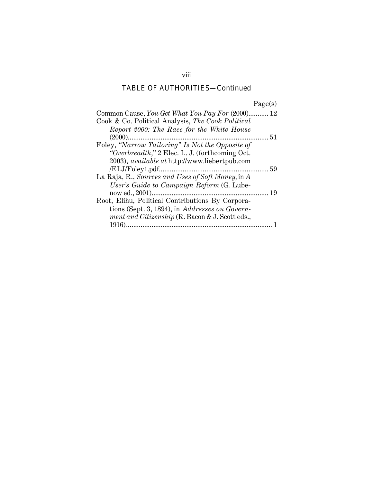## TABLE OF AUTHORITIES—Continued

| Common Cause, You Get What You Pay For (2000) 12     |            |
|------------------------------------------------------|------------|
| Cook & Co. Political Analysis, The Cook Political    |            |
| Report 2000: The Race for the White House            |            |
| $(2000)$                                             | $\dots 51$ |
| Foley, "Narrow Tailoring" Is Not the Opposite of     |            |
| "Overbreadth," 2 Elec. L. J. (forthcoming Oct.)      |            |
| 2003), <i>available at http://www.liebertpub.com</i> |            |
|                                                      |            |
| La Raja, R., Sources and Uses of Soft Money, in A    |            |
| User's Guide to Campaign Reform (G. Lube-            |            |
|                                                      | 19         |
| Root, Elihu, Political Contributions By Corpora-     |            |
| tions (Sept. 3, 1894), in Addresses on Govern-       |            |
| ment and Citizenship (R. Bacon & J. Scott eds.,      |            |
|                                                      |            |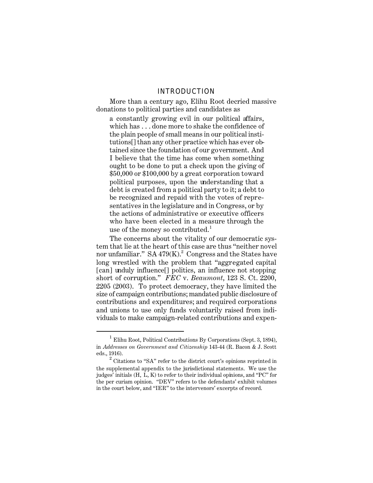#### INTRODUCTION

More than a century ago, Elihu Root decried massive donations to political parties and candidates as

a constantly growing evil in our political affairs, which has . . . done more to shake the confidence of the plain people of small means in our political institutions[] than any other practice which has ever obtained since the foundation of our government. And I believe that the time has come when something ought to be done to put a check upon the giving of \$50,000 or \$100,000 by a great corporation toward political purposes, upon the understanding that a debt is created from a political party to it; a debt to be recognized and repaid with the votes of representatives in the legislature and in Congress, or by the actions of administrative or executive officers who have been elected in a measure through the use of the money so contributed.<sup>1</sup>

The concerns about the vitality of our democratic system that lie at the heart of this case are thus "neither novel nor unfamiliar."  $SA\ 479(K).$ <sup>2</sup> Congress and the States have long wrestled with the problem that "aggregated capital [can] unduly influence<sup>[]</sup> politics, an influence not stopping short of corruption." *FEC* v. *Beaumont*, 123 S. Ct. 2200, 2205 (2003). To protect democracy, they have limited the size of campaign contributions; mandated public disclosure of contributions and expenditures; and required corporations and unions to use only funds voluntarily raised from individuals to make campaign-related contributions and expen-

<sup>&</sup>lt;sup>1</sup> Elihu Root, Political Contributions By Corporations (Sept. 3, 1894), in *Addresses on Government and Citizenship* 143-44 (R. Bacon & J. Scott eds., 1916).

 $2$  Citations to "SA" refer to the district court's opinions reprinted in the supplemental appendix to the jurisdictional statements. We use the judges' initials (H, L, K) to refer to their individual opinions, and "PC" for the per curiam opinion. "DEV" refers to the defendants' exhibit volumes in the court below, and "IER" to the intervenors' excerpts of record.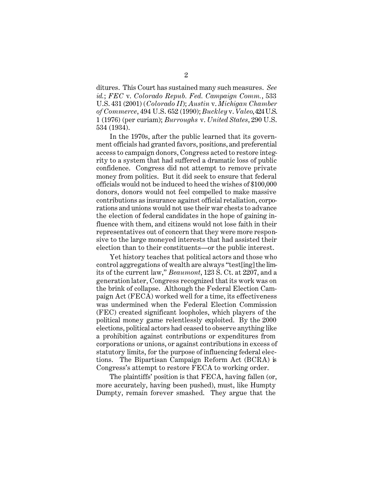ditures. This Court has sustained many such measures. *See id.*; *FEC* v. *Colorado Repub. Fed. Campaign Comm.*, 533 U.S. 431 (2001) (*Colorado II*); *Austin* v. *Michigan Chamber of Commerce*, 494 U.S. 652 (1990); *Buckley* v. *Valeo*, 424 U.S. 1 (1976) (per curiam); *Burroughs* v. *United States*, 290 U.S. 534 (1934).

In the 1970s, after the public learned that its government officials had granted favors, positions, and preferential access to campaign donors, Congress acted to restore integrity to a system that had suffered a dramatic loss of public confidence. Congress did not attempt to remove private money from politics. But it did seek to ensure that federal officials would not be induced to heed the wishes of \$100,000 donors, donors would not feel compelled to make massive contributions as insurance against official retaliation, corporations and unions would not use their war chests to advance the election of federal candidates in the hope of gaining influence with them, and citizens would not lose faith in their representatives out of concern that they were more responsive to the large moneyed interests that had assisted their election than to their constituents—or the public interest.

Yet history teaches that political actors and those who control aggregations of wealth are always "test[ing] the limits of the current law," *Beaumont*, 123 S. Ct. at 2207, and a generation later, Congress recognized that its work was on the brink of collapse. Although the Federal Election Campaign Act (FECA) worked well for a time, its effectiveness was undermined when the Federal Election Commission (FEC) created significant loopholes, which players of the political money game relentlessly exploited. By the 2000 elections, political actors had ceased to observe anything like a prohibition against contributions or expenditures from corporations or unions, or against contributions in excess of statutory limits, for the purpose of influencing federal elections. The Bipartisan Campaign Reform Act (BCRA) is Congress's attempt to restore FECA to working order.

The plaintiffs' position is that FECA, having fallen (or, more accurately, having been pushed), must, like Humpty Dumpty, remain forever smashed. They argue that the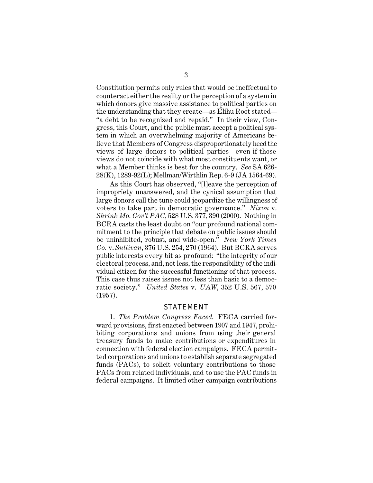Constitution permits only rules that would be ineffectual to counteract either the reality or the perception of a system in which donors give massive assistance to political parties on the understanding that they create—as Elihu Root stated— "a debt to be recognized and repaid." In their view, Congress, this Court, and the public must accept a political system in which an overwhelming majority of Americans believe that Members of Congress disproportionately heed the views of large donors to political parties—even if those views do not coincide with what most constituents want, or what a Member thinks is best for the country. *See* SA 626- 28(K), 1289-92(L); Mellman/Wirthlin Rep. 6-9 (JA 1564-69).

As this Court has observed, "[l]eave the perception of impropriety unanswered, and the cynical assumption that large donors call the tune could jeopardize the willingness of voters to take part in democratic governance." *Nixon* v. *Shrink Mo. Gov't PAC*, 528 U.S. 377, 390 (2000). Nothing in BCRA casts the least doubt on "our profound national commitment to the principle that debate on public issues should be uninhibited, robust, and wide-open." *New York Times Co.* v. *Sullivan*, 376 U.S. 254, 270 (1964). But BCRA serves public interests every bit as profound: "the integrity of our electoral process, and, not less, the responsibility of the individual citizen for the successful functioning of that process. This case thus raises issues not less than basic to a democratic society." *United States* v. *UAW*, 352 U.S. 567, 570 (1957).

#### STATEMENT

1. *The Problem Congress Faced*. FECA carried forward provisions, first enacted between 1907 and 1947, prohibiting corporations and unions from using their general treasury funds to make contributions or expenditures in connection with federal election campaigns. FECA permitted corporations and unions to establish separate segregated funds (PACs), to solicit voluntary contributions to those PACs from related individuals, and to use the PAC funds in federal campaigns. It limited other campaign contributions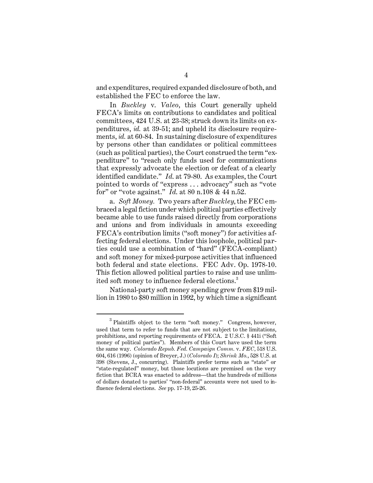and expenditures, required expanded disclosure of both, and established the FEC to enforce the law.

In *Buckley* v. *Valeo*, this Court generally upheld FECA's limits on contributions to candidates and political committees, 424 U.S. at 23-38; struck down its limits on expenditures, *id.* at 39-51; and upheld its disclosure requirements, *id.* at 60-84. In sustaining disclosure of expenditures by persons other than candidates or political committees (such as political parties), the Court construed the term "expenditure" to "reach only funds used for communications that expressly advocate the election or defeat of a clearly identified candidate." *Id*. at 79-80. As examples, the Court pointed to words of "express . . . advocacy" such as "vote for" or "vote against." *Id*. at 80 n.108 & 44 n.52.

a. *Soft Money.* Two years after *Buckley*, the FEC embraced a legal fiction under which political parties effectively became able to use funds raised directly from corporations and unions and from individuals in amounts exceeding FECA's contribution limits ("soft money") for activities affecting federal elections. Under this loophole, political parties could use a combination of "hard" (FECA-compliant) and soft money for mixed-purpose activities that influenced both federal and state elections. FEC Adv. Op. 1978-10. This fiction allowed political parties to raise and use unlimited soft money to influence federal elections.<sup>3</sup>

National-party soft money spending grew from \$19 million in 1980 to \$80 million in 1992, by which time a significant

<sup>3</sup> Plaintiffs object to the term "soft money." Congress, however, used that term to refer to funds that are not subject to the limitations, prohibitions, and reporting requirements of FECA. 2 U.S.C. § 441i ("Soft money of political parties"). Members of this Court have used the term the same way. *Colorado Repub. Fed. Campaign Comm.* v. *FEC,* 518 U.S. 604, 616 (1996) (opinion of Breyer, J.) (*Colorado I*); *Shrink Mo.*, 528 U.S. at 398 (Stevens, J., concurring). Plaintiffs prefer terms such as "state" or "state-regulated" money, but those locutions are premised on the very fiction that BCRA was enacted to address—that the hundreds of millions of dollars donated to parties' "non-federal" accounts were not used to influence federal elections. *See* pp. 17-19, 25-26.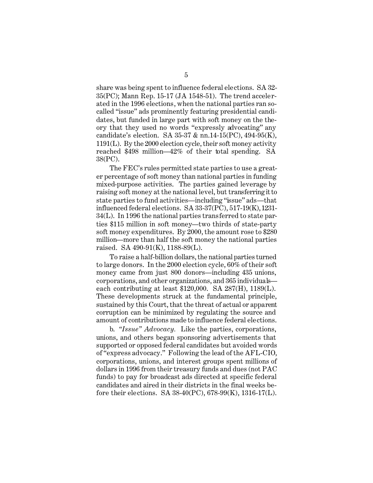share was being spent to influence federal elections. SA 32- 35(PC); Mann Rep. 15-17 (JA 1548-51). The trend accelerated in the 1996 elections, when the national parties ran socalled "issue" ads prominently featuring presidential candidates, but funded in large part with soft money on the theory that they used no words "expressly advocating" any candidate's election. SA 35-37 & nn.14-15(PC), 494-95(K), 1191(L). By the 2000 election cycle, their soft money activity reached \$498 million—42% of their total spending. SA 38(PC).

The FEC's rules permitted state parties to use a greater percentage of soft money than national parties in funding mixed-purpose activities. The parties gained leverage by raising soft money at the national level, but transferring it to state parties to fund activities—including "issue" ads—that influenced federal elections. SA 33-37(PC), 517-19(K), 1231- 34(L). In 1996 the national parties transferred to state parties \$115 million in soft money—two thirds of state-party soft money expenditures. By 2000, the amount rose to \$280 million—more than half the soft money the national parties raised. SA 490-91(K), 1188-89(L).

To raise a half-billion dollars, the national parties turned to large donors. In the 2000 election cycle, 60% of their soft money came from just 800 donors—including 435 unions, corporations, and other organizations, and 365 individuals each contributing at least \$120,000. SA 287(H), 1189(L). These developments struck at the fundamental principle, sustained by this Court, that the threat of actual or apparent corruption can be minimized by regulating the source and amount of contributions made to influence federal elections.

b. *"Issue" Advocacy.* Like the parties, corporations, unions, and others began sponsoring advertisements that supported or opposed federal candidates but avoided words of "express advocacy." Following the lead of the AFL-CIO, corporations, unions, and interest groups spent millions of dollars in 1996 from their treasury funds and dues (not PAC funds) to pay for broadcast ads directed at specific federal candidates and aired in their districts in the final weeks before their elections. SA 38-40(PC), 678-99(K), 1316-17(L).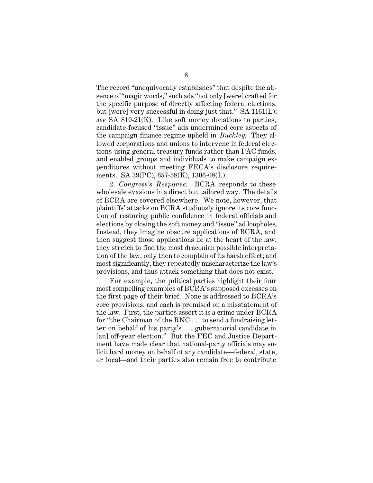The record "unequivocally establishes" that despite the absence of "magic words," such ads "not only [were] crafted for the specific purpose of directly affecting federal elections, but [were] very successful in doing just that." SA 1161(L); *see* SA 810-21(K). Like soft money donations to parties, candidate-focused "issue" ads undermined core aspects of the campaign finance regime upheld in *Buckley*. They allowed corporations and unions to intervene in federal elections using general treasury funds rather than PAC funds, and enabled groups and individuals to make campaign expenditures without meeting FECA's disclosure requirements. SA 39(PC), 657-58(K), 1306-08(L).

2. *Congress's Response*. BCRA responds to these wholesale evasions in a direct but tailored way. The details of BCRA are covered elsewhere. We note, however, that plaintiffs' attacks on BCRA studiously ignore its core function of restoring public confidence in federal officials and elections by closing the soft money and "issue" ad loopholes. Instead, they imagine obscure applications of BCRA, and then suggest those applications lie at the heart of the law; they stretch to find the most draconian possible interpretation of the law, only then to complain of its harsh effect; and most significantly, they repeatedly mischaracterize the law's provisions, and thus attack something that does not exist.

For example, the political parties highlight their four most compelling examples of BCRA's supposed excesses on the first page of their brief. None is addressed to BCRA's core provisions, and each is premised on a misstatement of the law. First, the parties assert it is a crime under BCRA for "the Chairman of the RNC . . . to send a fundraising letter on behalf of his party's . . . gubernatorial candidate in [an] off-year election." But the FEC and Justice Department have made clear that national-party officials may solicit hard money on behalf of any candidate—federal, state, or local—and their parties also remain free to contribute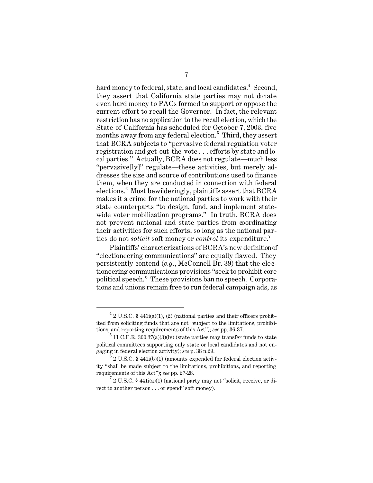hard money to federal, state, and local candidates.<sup>4</sup> Second. they assert that California state parties may not donate even hard money to PACs formed to support or oppose the current effort to recall the Governor. In fact, the relevant restriction has no application to the recall election, which the State of California has scheduled for October 7, 2003, five months away from any federal election.<sup>5</sup> Third, they assert that BCRA subjects to "pervasive federal regulation voter registration and get-out-the-vote . . . efforts by state and local parties." Actually, BCRA does not regulate—much less "pervasive[ly]" regulate—these activities, but merely addresses the size and source of contributions used to finance them, when they are conducted in connection with federal elections. $6$  Most bewilderingly, plaintiffs assert that BCRA makes it a crime for the national parties to work with their state counterparts "to design, fund, and implement statewide voter mobilization programs." In truth, BCRA does not prevent national and state parties from coordinating their activities for such efforts, so long as the national parties do not *solicit* soft money or *control* its expenditure.<sup>7</sup>

Plaintiffs' characterizations of BCRA's new definition of "electioneering communications" are equally flawed. They persistently contend (*e.g.*, McConnell Br. 39) that the electioneering communications provisions "seek to prohibit core political speech." These provisions ban no speech. Corporations and unions remain free to run federal campaign ads, as

 $42$  U.S.C. § 441i(a)(1), (2) (national parties and their officers prohibited from soliciting funds that are not "subject to the limitations, prohibitions, and reporting requirements of this Act"); *see* pp. 36-37.

 $5$  11 C.F.R. 300.37(a)(3)(iv) (state parties may transfer funds to state political committees supporting only state or local candidates and not engaging in federal election activity); *see* p. 38 n.29.

 $6^{6}$  2 U.S.C. § 441i(b)(1) (amounts expended for federal election activity "shall be made subject to the limitations, prohibitions, and reporting requirements of this Act"); *see* pp. 27-28.

 $^{7}$  2 U.S.C. § 441 $i$ (a)(1) (national party may not "solicit, receive, or direct to another person . . . or spend" soft money).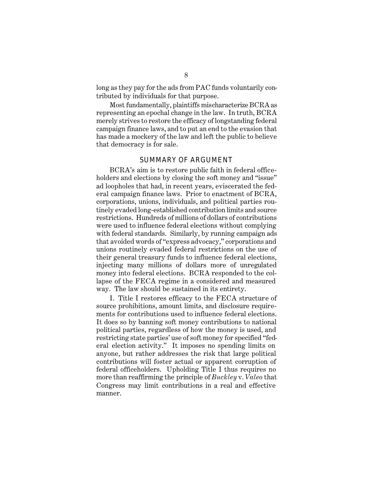long as they pay for the ads from PAC funds voluntarily contributed by individuals for that purpose.

Most fundamentally, plaintiffs mischaracterize BCRA as representing an epochal change in the law. In truth, BCRA merely strives to restore the efficacy of longstanding federal campaign finance laws, and to put an end to the evasion that has made a mockery of the law and left the public to believe that democracy is for sale.

#### SUMMARY OF ARGUMENT

BCRA's aim is to restore public faith in federal officeholders and elections by closing the soft money and "issue" ad loopholes that had, in recent years, eviscerated the federal campaign finance laws. Prior to enactment of BCRA, corporations, unions, individuals, and political parties routinely evaded long-established contribution limits and source restrictions. Hundreds of millions of dollars of contributions were used to influence federal elections without complying with federal standards. Similarly, by running campaign ads that avoided words of "express advocacy," corporations and unions routinely evaded federal restrictions on the use of their general treasury funds to influence federal elections, injecting many millions of dollars more of unregulated money into federal elections. BCRA responded to the collapse of the FECA regime in a considered and measured way. The law should be sustained in its entirety.

I. Title I restores efficacy to the FECA structure of source prohibitions, amount limits, and disclosure requirements for contributions used to influence federal elections. It does so by banning soft money contributions to national political parties, regardless of how the money is used, and restricting state parties' use of soft money for specified "federal election activity." It imposes no spending limits on anyone, but rather addresses the risk that large political contributions will foster actual or apparent corruption of federal officeholders. Upholding Title I thus requires no more than reaffirming the principle of *Buckley* v. *Valeo* that Congress may limit contributions in a real and effective manner.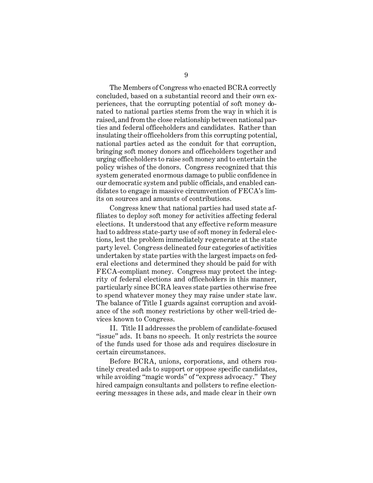The Members of Congress who enacted BCRA correctly concluded, based on a substantial record and their own experiences, that the corrupting potential of soft money donated to national parties stems from the way in which it is raised, and from the close relationship between national parties and federal officeholders and candidates. Rather than insulating their officeholders from this corrupting potential, national parties acted as the conduit for that corruption, bringing soft money donors and officeholders together and urging officeholders to raise soft money and to entertain the policy wishes of the donors. Congress recognized that this system generated enormous damage to public confidence in our democratic system and public officials, and enabled candidates to engage in massive circumvention of FECA's limits on sources and amounts of contributions.

Congress knew that national parties had used state affiliates to deploy soft money for activities affecting federal elections. It understood that any effective reform measure had to address state-party use of soft money in federal elections, lest the problem immediately regenerate at the state party level. Congress delineated four categories of activities undertaken by state parties with the largest impacts on federal elections and determined they should be paid for with FECA-compliant money. Congress may protect the integrity of federal elections and officeholders in this manner, particularly since BCRA leaves state parties otherwise free to spend whatever money they may raise under state law. The balance of Title I guards against corruption and avoidance of the soft money restrictions by other well-tried devices known to Congress.

II. Title II addresses the problem of candidate-focused "issue" ads. It bans no speech. It only restricts the source of the funds used for those ads and requires disclosure in certain circumstances.

Before BCRA, unions, corporations, and others routinely created ads to support or oppose specific candidates, while avoiding "magic words" of "express advocacy." They hired campaign consultants and pollsters to refine electioneering messages in these ads, and made clear in their own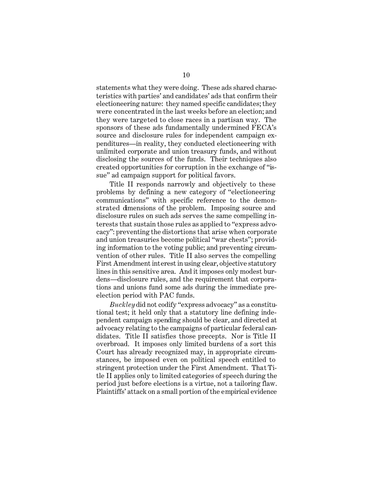statements what they were doing. These ads shared characteristics with parties' and candidates' ads that confirm their electioneering nature: they named specific candidates; they were concentrated in the last weeks before an election; and they were targeted to close races in a partisan way. The sponsors of these ads fundamentally undermined FECA's source and disclosure rules for independent campaign expenditures—in reality, they conducted electioneering with unlimited corporate and union treasury funds, and without disclosing the sources of the funds. Their techniques also created opportunities for corruption in the exchange of "issue" ad campaign support for political favors.

Title II responds narrowly and objectively to these problems by defining a new category of "electioneering communications" with specific reference to the demonstrated dimensions of the problem. Imposing source and disclosure rules on such ads serves the same compelling interests that sustain those rules as applied to "express advocacy": preventing the distortions that arise when corporate and union treasuries become political "war chests"; providing information to the voting public; and preventing circumvention of other rules. Title II also serves the compelling First Amendment interest in using clear, objective statutory lines in this sensitive area. And it imposes only modest burdens—disclosure rules, and the requirement that corporations and unions fund some ads during the immediate preelection period with PAC funds.

*Buckley* did not codify "express advocacy" as a constitutional test; it held only that a statutory line defining independent campaign spending should be clear, and directed at advocacy relating to the campaigns of particular federal candidates. Title II satisfies those precepts. Nor is Title II overbroad. It imposes only limited burdens of a sort this Court has already recognized may, in appropriate circumstances, be imposed even on political speech entitled to stringent protection under the First Amendment. That Title II applies only to limited categories of speech during the period just before elections is a virtue, not a tailoring flaw. Plaintiffs' attack on a small portion of the empirical evidence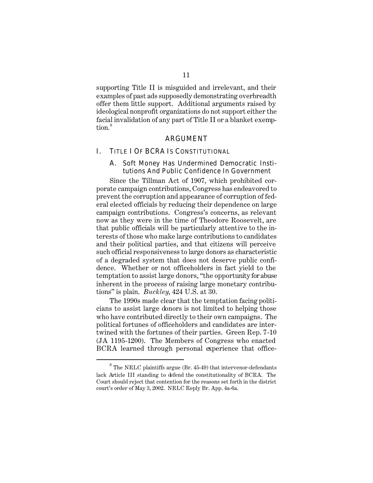supporting Title II is misguided and irrelevant, and their examples of past ads supposedly demonstrating overbreadth offer them little support. Additional arguments raised by ideological nonprofit organizations do not support either the facial invalidation of any part of Title II or a blanket exemption.<sup>8</sup>

#### ARGUMENT

#### I. TITLE I OF BCRA IS CONSTITUTIONAL

#### A. Soft Money Has Undermined Democratic Institutions And Public Confidence In Government

Since the Tillman Act of 1907, which prohibited corporate campaign contributions, Congress has endeavored to prevent the corruption and appearance of corruption of federal elected officials by reducing their dependence on large campaign contributions. Congress's concerns, as relevant now as they were in the time of Theodore Roosevelt, are that public officials will be particularly attentive to the interests of those who make large contributions to candidates and their political parties, and that citizens will perceive such official responsiveness to large donors as characteristic of a degraded system that does not deserve public confidence. Whether or not officeholders in fact yield to the temptation to assist large donors, "the opportunity for abuse inherent in the process of raising large monetary contributions" is plain. *Buckley*, 424 U.S. at 30.

The 1990s made clear that the temptation facing politicians to assist large donors is not limited to helping those who have contributed directly to their own campaigns. The political fortunes of officeholders and candidates are intertwined with the fortunes of their parties. Green Rep. 7-10 (JA 1195-1200). The Members of Congress who enacted BCRA learned through personal experience that office-

 $8$  The NRLC plaintiffs argue (Br. 45-49) that intervenor-defendants lack Article III standing to defend the constitutionality of BCRA. The Court should reject that contention for the reasons set forth in the district court's order of May 3, 2002. NRLC Reply Br. App. 4a-6a.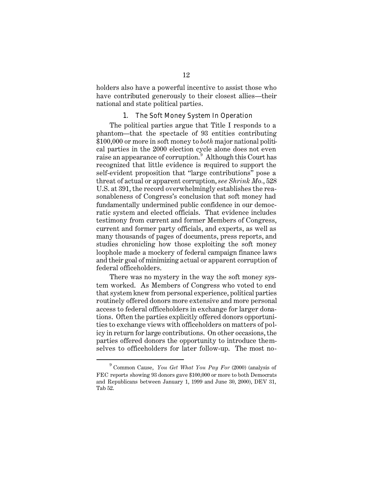holders also have a powerful incentive to assist those who have contributed generously to their closest allies—their national and state political parties.

#### 1. The Soft Money System In Operation

The political parties argue that Title I responds to a phantom—that the spectacle of 93 entities contributing \$100,000 or more in soft money to *both* major national political parties in the 2000 election cycle alone does not even raise an appearance of corruption. 9 Although this Court has recognized that little evidence is required to support the self-evident proposition that "large contributions" pose a threat of actual or apparent corruption, *see Shrink Mo.*, 528 U.S. at 391, the record overwhelmingly establishes the reasonableness of Congress's conclusion that soft money had fundamentally undermined public confidence in our democratic system and elected officials. That evidence includes testimony from current and former Members of Congress, current and former party officials, and experts, as well as many thousands of pages of documents, press reports, and studies chronicling how those exploiting the soft money loophole made a mockery of federal campaign finance laws and their goal of minimizing actual or apparent corruption of federal officeholders.

There was no mystery in the way the soft money system worked. As Members of Congress who voted to end that system knew from personal experience, political parties routinely offered donors more extensive and more personal access to federal officeholders in exchange for larger donations. Often the parties explicitly offered donors opportunities to exchange views with officeholders on matters of policy in return for large contributions. On other occasions, the parties offered donors the opportunity to introduce themselves to officeholders for later follow-up. The most no-

<sup>9</sup> Common Cause, *You Get What You Pay For* (2000) (analysis of FEC reports showing 93 donors gave \$100,000 or more to both Democrats and Republicans between January 1, 1999 and June 30, 2000), DEV 31, Tab 52.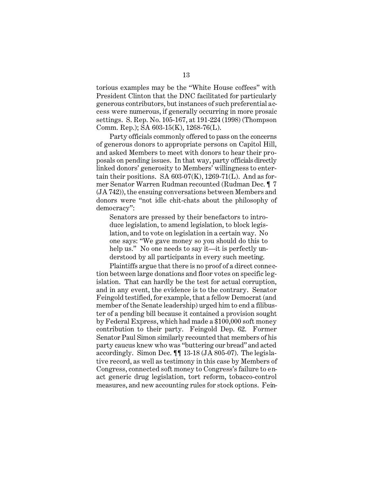torious examples may be the "White House coffees" with President Clinton that the DNC facilitated for particularly generous contributors, but instances of such preferential access were numerous, if generally occurring in more prosaic settings. S. Rep. No. 105-167, at 191-224 (1998) (Thompson Comm. Rep.); SA 603-15(K), 1268-76(L).

Party officials commonly offered to pass on the concerns of generous donors to appropriate persons on Capitol Hill, and asked Members to meet with donors to hear their proposals on pending issues. In that way, party officials directly linked donors' generosity to Members' willingness to entertain their positions. SA  $603-07(K)$ , 1269-71(L). And as former Senator Warren Rudman recounted (Rudman Dec. ¶ 7 (JA 742)), the ensuing conversations between Members and donors were "not idle chit-chats about the philosophy of democracy":

Senators are pressed by their benefactors to introduce legislation, to amend legislation, to block legislation, and to vote on legislation in a certain way. No one says: "We gave money so you should do this to help us." No one needs to say it—it is perfectly understood by all participants in every such meeting.

Plaintiffs argue that there is no proof of a direct connection between large donations and floor votes on specific legislation. That can hardly be the test for actual corruption, and in any event, the evidence is to the contrary. Senator Feingold testified, for example, that a fellow Democrat (and member of the Senate leadership) urged him to end a filibuster of a pending bill because it contained a provision sought by Federal Express, which had made a \$100,000 soft money contribution to their party. Feingold Dep. 62. Former Senator Paul Simon similarly recounted that members of his party caucus knew who was "buttering our bread" and acted accordingly. Simon Dec. ¶¶ 13-18 (JA 805-07). The legislative record, as well as testimony in this case by Members of Congress, connected soft money to Congress's failure to enact generic drug legislation, tort reform, tobacco-control measures, and new accounting rules for stock options. Fein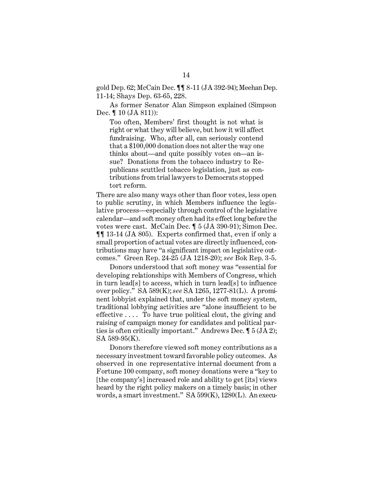gold Dep. 62; McCain Dec. ¶¶ 8-11 (JA 392-94); Meehan Dep. 11-14; Shays Dep. 63-65, 228.

As former Senator Alan Simpson explained (Simpson Dec. ¶ 10 (JA 811)):

Too often, Members' first thought is not what is right or what they will believe, but how it will affect fundraising. Who, after all, can seriously contend that a \$100,000 donation does not alter the way one thinks about—and quite possibly votes on—an issue? Donations from the tobacco industry to Republicans scuttled tobacco legislation, just as contributions from trial lawyers to Democrats stopped tort reform.

There are also many ways other than floor votes, less open to public scrutiny, in which Members influence the legislative process—especially through control of the legislative calendar—and soft money often had its effect long before the votes were cast. McCain Dec. ¶ 5 (JA 390-91); Simon Dec. ¶¶ 13-14 (JA 805). Experts confirmed that, even if only a small proportion of actual votes are directly influenced, contributions may have "a significant impact on legislative outcomes." Green Rep. 24-25 (JA 1218-20); *see* Bok Rep. 3-5.

Donors understood that soft money was "essential for developing relationships with Members of Congress, which in turn lead[s] to access, which in turn lead[s] to influence over policy." SA 589(K); *see* SA 1265, 1277-81(L). A prominent lobbyist explained that, under the soft money system, traditional lobbying activities are "alone insufficient to be effective  $\dots$  To have true political clout, the giving and raising of campaign money for candidates and political parties is often critically important." Andrews Dec. ¶ 5 (JA 2); SA 589-95(K).

Donors therefore viewed soft money contributions as a necessary investment toward favorable policy outcomes. As observed in one representative internal document from a Fortune 100 company, soft money donations were a "key to [the company's] increased role and ability to get [its] views heard by the right policy makers on a timely basis; in other words, a smart investment." SA 599(K), 1280(L). An execu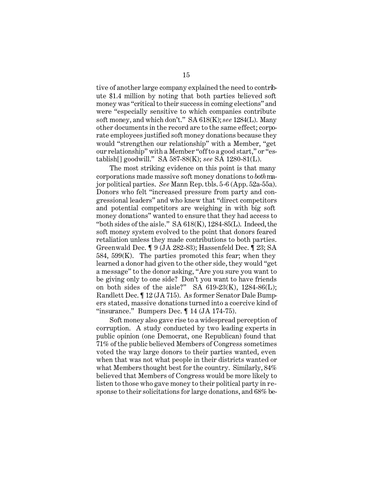tive of another large company explained the need to contribute \$1.4 million by noting that both parties believed soft money was "critical to their success in coming elections" and were "especially sensitive to which companies contribute soft money, and which don't." SA 618(K); *see* 1284(L). Many other documents in the record are to the same effect; corporate employees justified soft money donations because they would "strengthen our relationship" with a Member, "get our relationship" with a Member "off to a good start," or "establish[] goodwill." SA 587-88(K); *see* SA 1280-81(L).

The most striking evidence on this point is that many corporations made massive soft money donations to *both* major political parties. *See* Mann Rep. tbls. 5-6 (App. 52a-55a). Donors who felt "increased pressure from party and congressional leaders" and who knew that "direct competitors and potential competitors are weighing in with big soft money donations" wanted to ensure that they had access to "both sides of the aisle."  $SA\,618(K), 1284-85(L)$ . Indeed, the soft money system evolved to the point that donors feared retaliation unless they made contributions to both parties. Greenwald Dec. ¶ 9 (JA 282-83); Hassenfeld Dec. ¶ 23; SA 584, 599(K). The parties promoted this fear; when they learned a donor had given to the other side, they would "get a message" to the donor asking, "Are you sure you want to be giving only to one side? Don't you want to have friends on both sides of the aisle?" SA  $619-23(K)$ , 1284-86(L); Randlett Dec. ¶ 12 (JA 715). As former Senator Dale Bumpers stated, massive donations turned into a coercive kind of "insurance." Bumpers Dec.  $\P$  14 (JA 174-75).

Soft money also gave rise to a widespread perception of corruption. A study conducted by two leading experts in public opinion (one Democrat, one Republican) found that 71% of the public believed Members of Congress sometimes voted the way large donors to their parties wanted, even when that was not what people in their districts wanted or what Members thought best for the country. Similarly, 84% believed that Members of Congress would be more likely to listen to those who gave money to their political party in response to their solicitations for large donations, and 68% be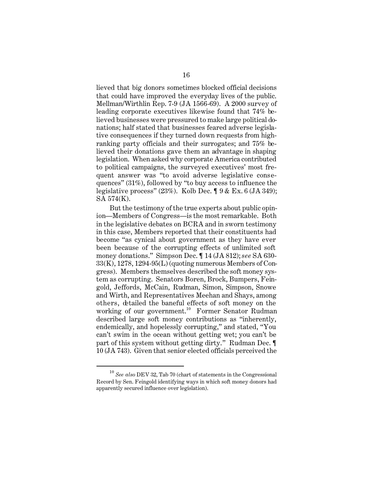lieved that big donors sometimes blocked official decisions that could have improved the everyday lives of the public. Mellman/Wirthlin Rep. 7-9 (JA 1566-69). A 2000 survey of leading corporate executives likewise found that 74% believed businesses were pressured to make large political donations; half stated that businesses feared adverse legislative consequences if they turned down requests from highranking party officials and their surrogates; and 75% believed their donations gave them an advantage in shaping legislation. When asked why corporate America contributed to political campaigns, the surveyed executives' most frequent answer was "to avoid adverse legislative consequences" (31%), followed by "to buy access to influence the legislative process" (23%). Kolb Dec. ¶ 9 & Ex. 6 (JA 349); SA 574(K).

But the testimony of the true experts about public opinion—Members of Congress—is the most remarkable. Both in the legislative debates on BCRA and in sworn testimony in this case, Members reported that their constituents had become "as cynical about government as they have ever been because of the corrupting effects of unlimited soft money donations." Simpson Dec. ¶ 14 (JA 812); *see* SA 630- 33(K), 1278, 1294-95(L) (quoting numerous Members of Congress). Members themselves described the soft money system as corrupting. Senators Boren, Brock, Bumpers, Feingold, Jeffords, McCain, Rudman, Simon, Simpson, Snowe and Wirth, and Representatives Meehan and Shays, among others, detailed the baneful effects of soft money on the working of our government.<sup>10</sup> Former Senator Rudman described large soft money contributions as "inherently, endemically, and hopelessly corrupting," and stated, "You can't swim in the ocean without getting wet; you can't be part of this system without getting dirty." Rudman Dec. ¶ 10 (JA 743). Given that senior elected officials perceived the

<sup>10</sup>*See also* DEV 32, Tab 70 (chart of statements in the Congressional Record by Sen. Feingold identifying ways in which soft money donors had apparently secured influence over legislation).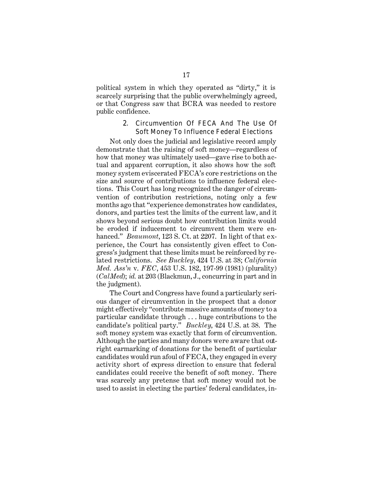political system in which they operated as "dirty," it is scarcely surprising that the public overwhelmingly agreed, or that Congress saw that BCRA was needed to restore public confidence.

#### 2. Circumvention Of FECA And The Use Of Soft Money To Influence Federal Elections

Not only does the judicial and legislative record amply demonstrate that the raising of soft money—regardless of how that money was ultimately used—gave rise to both actual and apparent corruption, it also shows how the soft money system eviscerated FECA's core restrictions on the size and source of contributions to influence federal elections. This Court has long recognized the danger of circumvention of contribution restrictions, noting only a few months ago that "experience demonstrates how candidates, donors, and parties test the limits of the current law, and it shows beyond serious doubt how contribution limits would be eroded if inducement to circumvent them were enhanced." *Beaumont*, 123 S. Ct. at 2207. In light of that experience, the Court has consistently given effect to Congress's judgment that these limits must be reinforced by related restrictions. *See Buckley,* 424 U.S. at 38; *California Med. Ass'n* v. *FEC*, 453 U.S. 182, 197-99 (1981) (plurality) (*CalMed*); *id.* at 203 (Blackmun, J., concurring in part and in the judgment).

The Court and Congress have found a particularly serious danger of circumvention in the prospect that a donor might effectively "contribute massive amounts of money to a particular candidate through . . . huge contributions to the candidate's political party." *Buckley*, 424 U.S. at 38. The soft money system was exactly that form of circumvention. Although the parties and many donors were aware that outright earmarking of donations for the benefit of particular candidates would run afoul of FECA, they engaged in every activity short of express direction to ensure that federal candidates could receive the benefit of soft money. There was scarcely any pretense that soft money would not be used to assist in electing the parties' federal candidates, in-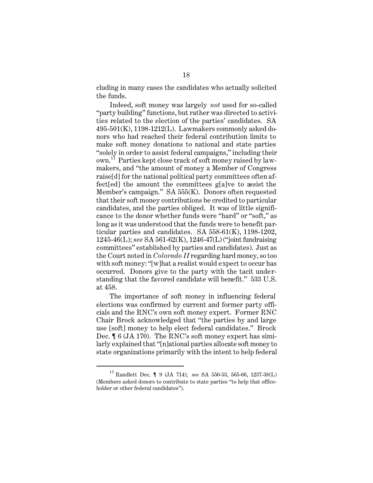cluding in many cases the candidates who actually solicited the funds.

Indeed, soft money was largely *not* used for so-called "party building" functions, but rather was directed to activities related to the election of the parties' candidates. SA 495-501(K), 1198-1212(L). Lawmakers commonly asked donors who had reached their federal contribution limits to make soft money donations to national and state parties "solely in order to assist federal campaigns," including their own.11 Parties kept close track of soft money raised by lawmakers, and "the amount of money a Member of Congress raise[d] for the national political party committees often affect[ed] the amount the committees g[a]ve to assist the Member's campaign." SA 555(K). Donors often requested that their soft money contributions be credited to particular candidates, and the parties obliged. It was of little significance to the donor whether funds were "hard" or "soft," as long as it was understood that the funds were to benefit particular parties and candidates. SA 558-61(K), 1198-1202, 1245-46(L); *see* SA 561-62(K), 1246-47(L) ("joint fundraising committees" established by parties and candidates). Just as the Court noted in *Colorado II* regarding hard money, so too with soft money: "[w]hat a realist would expect to occur has occurred. Donors give to the party with the tacit understanding that the favored candidate will benefit." 533 U.S. at 458.

The importance of soft money in influencing federal elections was confirmed by current and former party officials and the RNC's own soft money expert. Former RNC Chair Brock acknowledged that "the parties by and large use [soft] money to help elect federal candidates." Brock Dec. ¶ 6 (JA 170). The RNC's soft money expert has similarly explained that "[n]ational parties allocate soft money to state organizations primarily with the intent to help federal

<sup>11</sup> Randlett Dec. ¶ 9 (JA 714); *see* SA 550-53, 565-66, 1237-38(L) (Members asked donors to contribute to state parties "to help that officeholder or other federal candidates").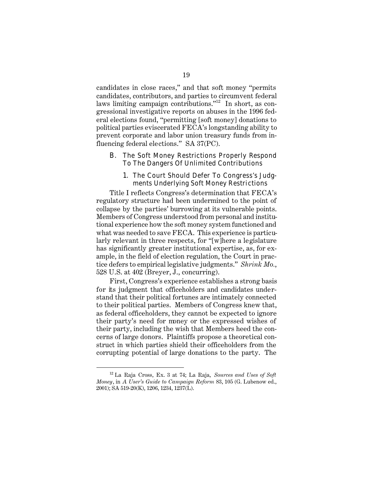candidates in close races," and that soft money "permits candidates, contributors, and parties to circumvent federal laws limiting campaign contributions."12 In short, as congressional investigative reports on abuses in the 1996 federal elections found, "permitting [soft money] donations to political parties eviscerated FECA's longstanding ability to prevent corporate and labor union treasury funds from influencing federal elections." SA 37(PC).

#### B. The Soft Money Restrictions Properly Respond To The Dangers Of Unlimited Contributions

#### 1. The Court Should Defer To Congress's Judgments Underlying Soft Money Restrictions

Title I reflects Congress's determination that FECA's regulatory structure had been undermined to the point of collapse by the parties' burrowing at its vulnerable points. Members of Congress understood from personal and institutional experience how the soft money system functioned and what was needed to save FECA. This experience is particularly relevant in three respects, for "[w]here a legislature has significantly greater institutional expertise, as, for example, in the field of election regulation, the Court in practice defers to empirical legislative judgments." *Shrink Mo.*, 528 U.S. at 402 (Breyer, J., concurring).

First, Congress's experience establishes a strong basis for its judgment that officeholders and candidates understand that their political fortunes are intimately connected to their political parties. Members of Congress knew that, as federal officeholders, they cannot be expected to ignore their party's need for money or the expressed wishes of their party, including the wish that Members heed the concerns of large donors. Plaintiffs propose a theoretical construct in which parties shield their officeholders from the corrupting potential of large donations to the party. The

<sup>12</sup> La Raja Cross, Ex. 3 at 74; La Raja, *Sources and Uses of Soft Money*, in *A User's Guide to Campaign Reform* 83, 105 (G. Lubenow ed., 2001); SA 519-20(K), 1206, 1234, 1237(L).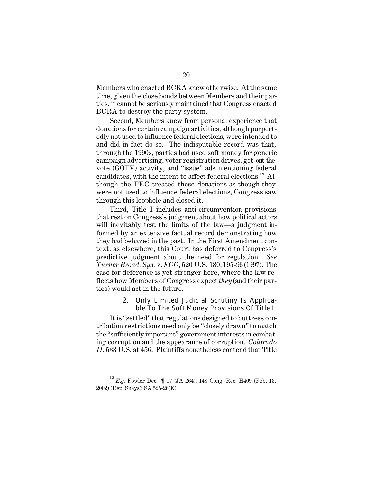Members who enacted BCRA knew otherwise. At the same time, given the close bonds between Members and their parties, it cannot be seriously maintained that Congress enacted BCRA to destroy the party system.

Second, Members knew from personal experience that donations for certain campaign activities, although purportedly not used to influence federal elections, were intended to and did in fact do so. The indisputable record was that, through the 1990s, parties had used soft money for generic campaign advertising, voter registration drives, get-out-thevote (GOTV) activity, and "issue" ads mentioning federal candidates, with the intent to affect federal elections.<sup>13</sup> Although the FEC treated these donations as though they were not used to influence federal elections, Congress saw through this loophole and closed it.

Third, Title I includes anti-circumvention provisions that rest on Congress's judgment about how political actors will inevitably test the limits of the law—a judgment informed by an extensive factual record demonstrating how they had behaved in the past. In the First Amendment context, as elsewhere, this Court has deferred to Congress's predictive judgment about the need for regulation. *See Turner Broad. Sys.* v. *FCC*, 520 U.S. 180, 195-96 (1997). The case for deference is yet stronger here, where the law reflects how Members of Congress expect *they* (and their parties) would act in the future.

#### 2. Only Limited Judicial Scrutiny Is Applicable To The Soft Money Provisions Of Title I

It is "settled" that regulations designed to buttress contribution restrictions need only be "closely drawn" to match the "sufficiently important" government interests in combating corruption and the appearance of corruption. *Colorado II*, 533 U.S. at 456. Plaintiffs nonetheless contend that Title

<sup>13</sup>*E.g.* Fowler Dec. ¶ 17 (JA 264); 148 Cong. Rec. H409 (Feb. 13, 2002) (Rep. Shays); SA 525-26(K).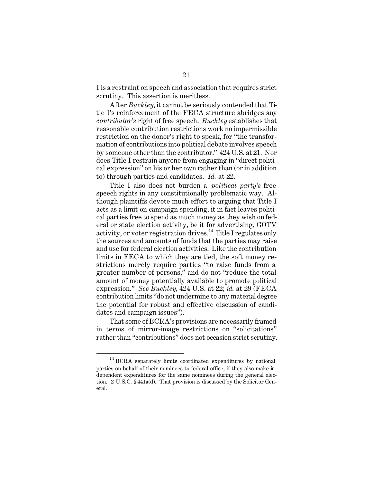I is a restraint on speech and association that requires strict scrutiny. This assertion is meritless.

After *Buckley*, it cannot be seriously contended that Title I's reinforcement of the FECA structure abridges any *contributor's* right of free speech. *Buckley* establishes that reasonable contribution restrictions work no impermissible restriction on the donor's right to speak, for "the transformation of contributions into political debate involves speech by someone other than the contributor." 424 U.S. at 21. Nor does Title I restrain anyone from engaging in "direct political expression" on his or her own rather than (or in addition to) through parties and candidates. *Id.* at 22.

Title I also does not burden a *political party's* free speech rights in any constitutionally problematic way. Although plaintiffs devote much effort to arguing that Title I acts as a limit on campaign spending, it in fact leaves political parties free to spend as much money as they wish on federal or state election activity, be it for advertising, GOTV activity, or voter registration drives.<sup>14</sup> Title I regulates only the sources and amounts of funds that the parties may raise and use for federal election activities. Like the contribution limits in FECA to which they are tied, the soft money restrictions merely require parties "to raise funds from a greater number of persons," and do not "reduce the total amount of money potentially available to promote political expression." *See Buckley*, 424 U.S. at 22; *id.* at 29 (FECA contribution limits "do not undermine to any material degree the potential for robust and effective discussion of candidates and campaign issues").

That some of BCRA's provisions are necessarily framed in terms of mirror-image restrictions on "solicitations" rather than "contributions" does not occasion strict scrutiny.

<sup>&</sup>lt;sup>14</sup> BCRA separately limits coordinated expenditures by national parties on behalf of their nominees to federal office, if they also make independent expenditures for the same nominees during the general election. 2 U.S.C. § 441a(d). That provision is discussed by the Solicitor General.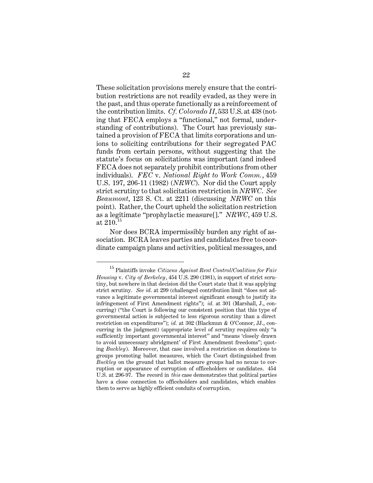These solicitation provisions merely ensure that the contribution restrictions are not readily evaded, as they were in the past, and thus operate functionally as a reinforcement of the contribution limits. *Cf. Colorado II*, 533 U.S. at 438 (noting that FECA employs a "functional," not formal, understanding of contributions). The Court has previously sustained a provision of FECA that limits corporations and unions to soliciting contributions for their segregated PAC funds from certain persons, without suggesting that the statute's focus on solicitations was important (and indeed FECA does not separately prohibit contributions from other individuals). *FEC* v. *National Right to Work Comm.*, 459 U.S. 197, 206-11 (1982) (*NRWC*). Nor did the Court apply strict scrutiny to that solicitation restriction in *NRWC*. *See Beaumont*, 123 S. Ct. at 2211 (discussing *NRWC* on this point). Rather, the Court upheld the solicitation restriction as a legitimate "prophylactic measure[]." *NRWC*, 459 U.S. at  $210^{15}$ 

Nor does BCRA impermissibly burden any right of association. BCRA leaves parties and candidates free to coordinate campaign plans and activities, political messages, and

<sup>15</sup> Plaintiffs invoke *Citizens Against Rent Control/Coalition for Fair Housing* v. *City of Berkeley*, 454 U.S. 290 (1981), in support of strict scrutiny, but nowhere in that decision did the Court state that it was applying strict scrutiny. *See id.* at 299 (challenged contribution limit "does not advance a legitimate governmental interest significant enough to justify its infringement of First Amendment rights"); *id.* at 301 (Marshall, J., concurring) ("the Court is following our consistent position that this type of governmental action is subjected to less rigorous scrutiny than a direct restriction on expenditures"); *id.* at 302 (Blackmun & O'Connor, JJ., concurring in the judgment) (appropriate level of scrutiny requires only "a sufficiently important governmental interest" and "means 'closely drawn to avoid unnecessary abridgment' of First Amendment freedoms"; quoting *Buckley*). Moreover, that case involved a restriction on donations to groups promoting ballot measures, which the Court distinguished from *Buckley* on the ground that ballot measure groups had no nexus to corruption or appearance of corruption of officeholders or candidates. 454 U.S. at 296-97. The record in *this* case demonstrates that political parties have a close connection to officeholders and candidates, which enables them to serve as highly efficient conduits of corruption.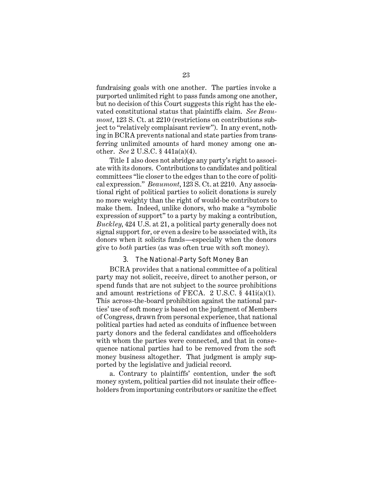fundraising goals with one another. The parties invoke a purported unlimited right to pass funds among one another, but no decision of this Court suggests this right has the elevated constitutional status that plaintiffs claim. *See Beaumont*, 123 S. Ct. at 2210 (restrictions on contributions subject to "relatively complaisant review"). In any event, nothing in BCRA prevents national and state parties from transferring unlimited amounts of hard money among one another. *See* 2 U.S.C. § 441a(a)(4).

Title I also does not abridge any party's right to associate with its donors. Contributions to candidates and political committees "lie closer to the edges than to the core of political expression." *Beaumont*, 123 S. Ct. at 2210. Any associational right of political parties to solicit donations is surely no more weighty than the right of would-be contributors to make them. Indeed, unlike donors, who make a "symbolic expression of support" to a party by making a contribution, *Buckley*, 424 U.S. at 21, a political party generally does not signal support for, or even a desire to be associated with, its donors when it solicits funds—especially when the donors give to *both* parties (as was often true with soft money).

#### 3. The National-Party Soft Money Ban

BCRA provides that a national committee of a political party may not solicit, receive, direct to another person, or spend funds that are not subject to the source prohibitions and amount restrictions of FECA. 2 U.S.C. § 441i(a)(1). This across-the-board prohibition against the national parties' use of soft money is based on the judgment of Members of Congress, drawn from personal experience, that national political parties had acted as conduits of influence between party donors and the federal candidates and officeholders with whom the parties were connected, and that in consequence national parties had to be removed from the soft money business altogether. That judgment is amply supported by the legislative and judicial record.

a. Contrary to plaintiffs' contention, under the soft money system, political parties did not insulate their officeholders from importuning contributors or sanitize the effect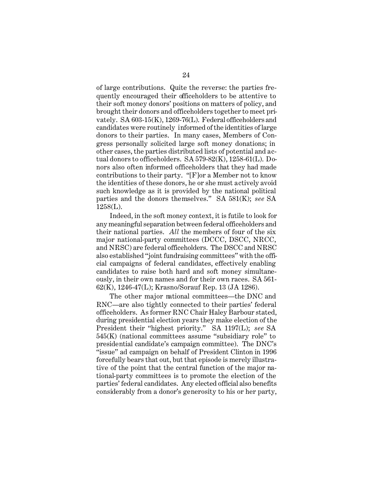of large contributions. Quite the reverse: the parties frequently encouraged their officeholders to be attentive to their soft money donors' positions on matters of policy, and brought their donors and officeholders together to meet privately. SA 603-15(K), 1269-76(L). Federal officeholders and candidates were routinely informed of the identities of large donors to their parties. In many cases, Members of Congress personally solicited large soft money donations; in other cases, the parties distributed lists of potential and actual donors to officeholders. SA 579-82(K), 1258-61(L). Donors also often informed officeholders that they had made contributions to their party. "[F]or a Member not to know the identities of these donors, he or she must actively avoid such knowledge as it is provided by the national political parties and the donors themselves." SA 581(K); *see* SA 1258(L).

Indeed, in the soft money context, it is futile to look for any meaningful separation between federal officeholders and their national parties. *All* the members of four of the six major national-party committees (DCCC, DSCC, NRCC, and NRSC) are federal officeholders. The DSCC and NRSC also established "joint fundraising committees" with the official campaigns of federal candidates, effectively enabling candidates to raise both hard and soft money simultaneously, in their own names and for their own races. SA 561- 62(K), 1246-47(L); Krasno/Sorauf Rep. 13 (JA 1286).

The other major national committees—the DNC and RNC—are also tightly connected to their parties' federal officeholders. As former RNC Chair Haley Barbour stated, during presidential election years they make election of the President their "highest priority." SA 1197(L); *see* SA 545(K) (national committees assume "subsidiary role" to presidential candidate's campaign committee). The DNC's "issue" ad campaign on behalf of President Clinton in 1996 forcefully bears that out, but that episode is merely illustrative of the point that the central function of the major national-party committees is to promote the election of the parties' federal candidates. Any elected official also benefits considerably from a donor's generosity to his or her party,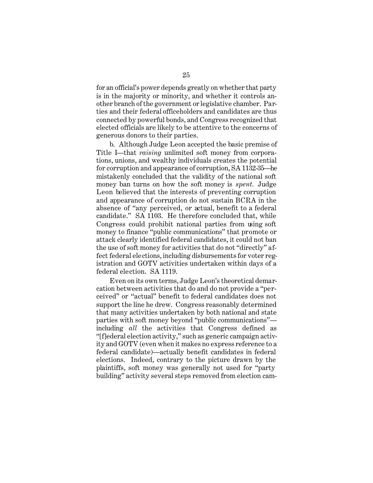for an official's power depends greatly on whether that party is in the majority or minority, and whether it controls another branch of the government or legislative chamber. Parties and their federal officeholders and candidates are thus connected by powerful bonds, and Congress recognized that elected officials are likely to be attentive to the concerns of generous donors to their parties.

b. Although Judge Leon accepted the basic premise of Title I—that *raising* unlimited soft money from corporations, unions, and wealthy individuals creates the potential for corruption and appearance of corruption, SA 1132-35—he mistakenly concluded that the validity of the national soft money ban turns on how the soft money is *spent.* Judge Leon believed that the interests of preventing corruption and appearance of corruption do not sustain BCRA in the absence of "any perceived, or actual, benefit to a federal candidate." SA 1103. He therefore concluded that, while Congress could prohibit national parties from using soft money to finance "public communications" that promote or attack clearly identified federal candidates, it could not ban the use of soft money for activities that do not "directly" affect federal elections, including disbursements for voter registration and GOTV activities undertaken within days of a federal election. SA 1119.

Even on its own terms, Judge Leon's theoretical demarcation between activities that do and do not provide a "perceived" or "actual" benefit to federal candidates does not support the line he drew. Congress reasonably determined that many activities undertaken by both national and state parties with soft money beyond "public communications" including *all* the activities that Congress defined as "[f]ederal election activity," such as generic campaign activity and GOTV (even when it makes no express reference to a federal candidate)—actually benefit candidates in federal elections. Indeed, contrary to the picture drawn by the plaintiffs, soft money was generally not used for "party building" activity several steps removed from election cam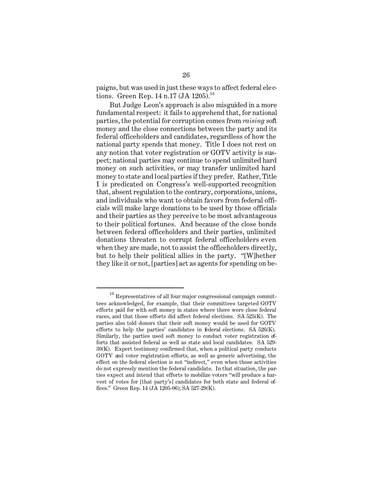paigns, but was used in just these ways to affect federal elections. Green Rep. 14 n.17 (JA 1205).<sup>16</sup>

But Judge Leon's approach is also misguided in a more fundamental respect: it fails to apprehend that, for national parties, the potential for corruption comes from *raising* soft money and the close connections between the party and its federal officeholders and candidates, regardless of how the national party spends that money. Title I does not rest on any notion that voter registration or GOTV activity is suspect; national parties may continue to spend unlimited hard money on such activities, or may transfer unlimited hard money to state and local parties if they prefer. Rather, Title I is predicated on Congress's well-supported recognition that, absent regulation to the contrary, corporations, unions, and individuals who want to obtain favors from federal officials will make large donations to be used by those officials and their parties as they perceive to be most advantageous to their political fortunes. And because of the close bonds between federal officeholders and their parties, unlimited donations threaten to corrupt federal officeholders even when they are made, not to assist the officeholders directly, but to help their political allies in the party. "[W]hether they like it or not, [parties] act as agents for spending on be-

<sup>&</sup>lt;sup>16</sup> Representatives of all four major congressional campaign committees acknowledged, for example, that their committees targeted GOTV efforts paid for with soft money in states where there were close federal races, and that those efforts did affect federal elections. SA 525(K). The parties also told donors that their soft money would be used for GOTV efforts to help the parties' candidates in federal elections. SA  $526(K)$ . Similarly, the parties used soft money to conduct voter registration efforts that assisted federal as well as state and local candidates. SA 529- 30(K). Expert testimony confirmed that, when a political party conducts GOTV and voter registration efforts, as well as generic advertising, the effect on the federal election is not "indirect," even when those activities do not expressly mention the federal candidate. In that situation, the parties expect and intend that efforts to mobilize voters "will produce a harvest of votes for [that party's] candidates for both state and federal offices." Green Rep. 14 (JA 1205-06); SA 527-29(K).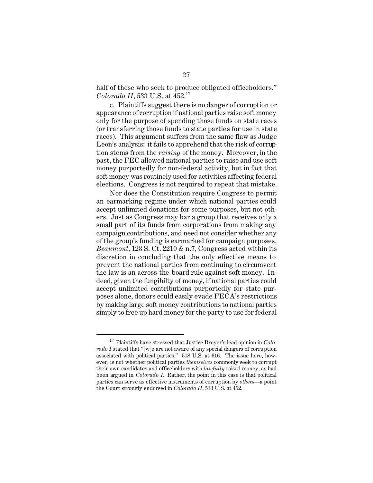half of those who seek to produce obligated officeholders." *Colorado II*, 533 U.S. at 452.<sup>17</sup>

c. Plaintiffs suggest there is no danger of corruption or appearance of corruption if national parties raise soft money only for the purpose of spending those funds on state races (or transferring those funds to state parties for use in state races). This argument suffers from the same flaw as Judge Leon's analysis: it fails to apprehend that the risk of corruption stems from the *raising* of the money. Moreover, in the past, the FEC allowed national parties to raise and use soft money purportedly for non-federal activity, but in fact that soft money was routinely used for activities affecting federal elections. Congress is not required to repeat that mistake.

Nor does the Constitution require Congress to permit an earmarking regime under which national parties could accept unlimited donations for some purposes, but not others. Just as Congress may bar a group that receives only a small part of its funds from corporations from making any campaign contributions, and need not consider whether any of the group's funding is earmarked for campaign purposes, *Beaumont*, 123 S. Ct. 2210 & n.7, Congress acted within its discretion in concluding that the only effective means to prevent the national parties from continuing to circumvent the law is an across-the-board rule against soft money. Indeed, given the fungibilty of money, if national parties could accept unlimited contributions purportedly for state purposes alone, donors could easily evade FECA's restrictions by making large soft money contributions to national parties simply to free up hard money for the party to use for federal

<sup>17</sup> Plaintiffs have stressed that Justice Breyer's lead opinion in *Colorado I* stated that "[w]e are not aware of any special dangers of corruption associated with political parties." 518 U.S. at 616. The issue here, however, is not whether political parties *themselves* commonly seek to corrupt their own candidates and officeholders with *lawfully* raised money, as had been argued in *Colorado I*. Rather, the point in this case is that political parties can serve as effective instruments of corruption by *others*—a point the Court strongly endorsed in *Colorado II*, 533 U.S. at 452.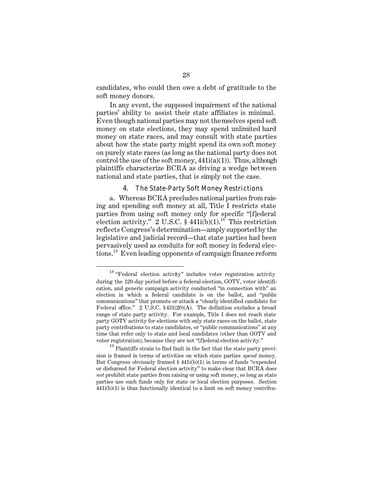candidates, who could then owe a debt of gratitude to the soft money donors.

In any event, the supposed impairment of the national parties' ability to assist their state affiliates is minimal. Even though national parties may not themselves spend soft money on state elections, they may spend unlimited hard money on state races, and may consult with state parties about how the state party might spend its own soft money on purely state races (as long as the national party does not control the use of the soft money,  $441i(a)(1)$ ). Thus, although plaintiffs characterize BCRA as driving a wedge between national and state parties, that is simply not the case.

## 4. The State-Party Soft Money Restrictions

a. Whereas BCRA precludes national parties from raising and spending soft money at all, Title I restricts state parties from using soft money only for specific "[f]ederal election activity." 2 U.S.C.  $\frac{1}{2}$  441i(b)(1).<sup>18</sup> This restriction reflects Congress's determination—amply supported by the legislative and judicial record—that state parties had been pervasively used as conduits for soft money in federal elections.19 Even leading opponents of campaign finance reform

<sup>18 &</sup>quot;Federal election activity" includes voter registration activity during the 120-day period before a federal election, GOTV, voter identification, and generic campaign activity conducted "in connection with" an election in which a federal candidate is on the ballot, and "public communications" that promote or attack a "clearly identified candidate for Federal office." 2 U.S.C. §431(20)(A). The definition excludes a broad range of state party activity. For example, Title I does not reach state party GOTV activity for elections with only state races on the ballot, state party contributions to state candidates, or "public communications" at any time that refer only to state and local candidates (other than GOTV and voter registration), because they are not "[f]ederal election activity."

<sup>&</sup>lt;sup>19</sup> Plaintiffs strain to find fault in the fact that the state party provision is framed in terms of activities on which state parties *spend* money. But Congress obviously framed § 441i(b)(1) in terms of funds "expended or disbursed for Federal election activity" to make clear that BCRA does *not* prohibit state parties from raising or using soft money, so long as state parties use such funds only for state or local election purposes. Section 441i(b)(1) is thus functionally identical to a limit on soft money contribu-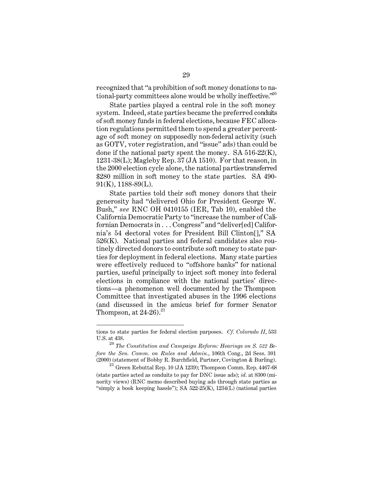recognized that "a prohibition of soft money donations to national-party committees alone would be wholly ineffective." $2^{00}$ 

State parties played a central role in the soft money system. Indeed, state parties became the preferred conduits of soft money funds in federal elections, because FEC allocation regulations permitted them to spend a greater percentage of soft money on supposedly non-federal activity (such as GOTV, voter registration, and "issue" ads) than could be done if the national party spent the money. SA  $516-22(K)$ , 1231-38(L); Magleby Rep. 37 (JA 1510). For that reason, in the 2000 election cycle alone, the national parties transferred \$280 million in soft money to the state parties. SA 490-91(K), 1188-89(L).

State parties told their soft money donors that their generosity had "delivered Ohio for President George W. Bush," *see* RNC OH 0410155 (IER, Tab 10), enabled the California Democratic Party to "increase the number of Californian Democrats in . . . Congress" and "deliver[ed] California's 54 electoral votes for President Bill Clinton[]," SA 526(K). National parties and federal candidates also routinely directed donors to contribute soft money to state parties for deployment in federal elections. Many state parties were effectively reduced to "offshore banks" for national parties, useful principally to inject soft money into federal elections in compliance with the national parties' directions—a phenomenon well documented by the Thompson Committee that investigated abuses in the 1996 elections (and discussed in the amicus brief for former Senator Thompson, at  $24-26$ ).<sup>21</sup>

tions to state parties for federal election purposes. *Cf. Colorado II*, 533 U.S. at 438.

<sup>20</sup>*The Constitution and Campaign Reform: Hearings on S. 522 Before the Sen. Comm. on Rules and Admin.*, 106th Cong., 2d Sess. 301 (2000) (statement of Bobby R. Burchfield, Partner, Covington & Burling).

 $^{21}$  Green Rebuttal Rep. 10 (JA 1239); Thompson Comm. Rep. 4467-68 (state parties acted as conduits to pay for DNC issue ads); *id.* at 8300 (minority views) (RNC memo described buying ads through state parties as "simply a book keeping hassle"); SA  $522-25(K)$ ,  $1234(L)$  (national parties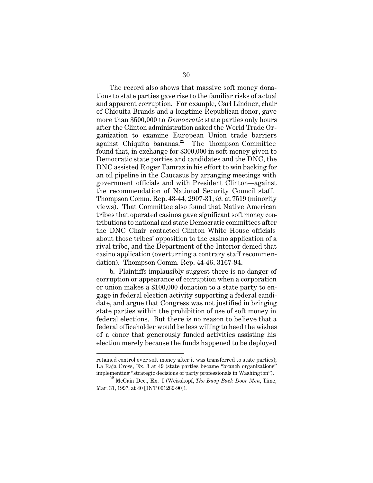The record also shows that massive soft money donations to state parties gave rise to the familiar risks of actual and apparent corruption. For example, Carl Lindner, chair of Chiquita Brands and a longtime Republican donor, gave more than \$500,000 to *Democratic* state parties only hours after the Clinton administration asked the World Trade Organization to examine European Union trade barriers against Chiquita bananas. $^{22}$  The Thompson Committee found that, in exchange for \$300,000 in soft money given to Democratic state parties and candidates and the DNC, the DNC assisted Roger Tamraz in his effort to win backing for an oil pipeline in the Caucasus by arranging meetings with government officials and with President Clinton—against the recommendation of National Security Council staff. Thompson Comm. Rep. 43-44, 2907-31; *id.* at 7519 (minority views). That Committee also found that Native American tribes that operated casinos gave significant soft money contributions to national and state Democratic committees after the DNC Chair contacted Clinton White House officials about those tribes' opposition to the casino application of a rival tribe, and the Department of the Interior denied that casino application (overturning a contrary staff recommendation). Thompson Comm. Rep. 44-46, 3167-94.

b. Plaintiffs implausibly suggest there is no danger of corruption or appearance of corruption when a corporation or union makes a \$100,000 donation to a state party to engage in federal election activity supporting a federal candidate, and argue that Congress was not justified in bringing state parties within the prohibition of use of soft money in federal elections. But there is no reason to believe that a federal officeholder would be less willing to heed the wishes of a donor that generously funded activities assisting his election merely because the funds happened to be deployed

retained control over soft money after it was transferred to state parties); La Raja Cross, Ex. 3 at 49 (state parties became "branch organizations" implementing "strategic decisions of party professionals in Washington").

<sup>22</sup> McCain Dec., Ex. I (Weisskopf, *The Busy Back Door Men*, Time, Mar. 31, 1997, at 40 [INT 001289-90]).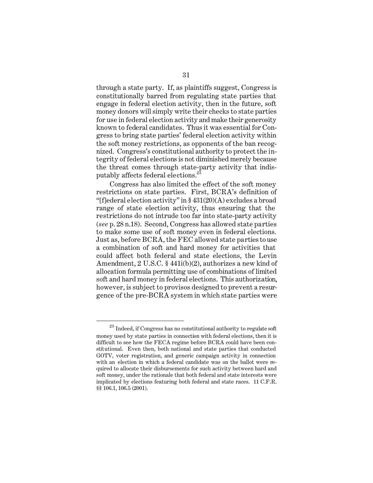through a state party. If, as plaintiffs suggest, Congress is constitutionally barred from regulating state parties that engage in federal election activity, then in the future, soft money donors will simply write their checks to state parties for use in federal election activity and make their generosity known to federal candidates. Thus it was essential for Congress to bring state parties' federal election activity within the soft money restrictions, as opponents of the ban recognized. Congress's constitutional authority to protect the integrity of federal elections is not diminished merely because the threat comes through state-party activity that indisputably affects federal elections.<sup>23</sup>

Congress has also limited the effect of the soft money restrictions on state parties. First, BCRA's definition of "[f]ederal election activity" in § 431(20)(A) excludes a broad range of state election activity, thus ensuring that the restrictions do not intrude too far into state-party activity (*see* p. 28 n.18). Second, Congress has allowed state parties to make some use of soft money even in federal elections. Just as, before BCRA, the FEC allowed state parties to use a combination of soft and hard money for activities that could affect both federal and state elections, the Levin Amendment, 2 U.S.C. § 441i(b)(2), authorizes a new kind of allocation formula permitting use of combinations of limited soft and hard money in federal elections. This authorization, however, is subject to provisos designed to prevent a resurgence of the pre-BCRA system in which state parties were

 $^\mathrm{23}$  Indeed, if Congress has no constitutional authority to regulate soft money used by state parties in connection with federal elections, then it is difficult to see how the FECA regime before BCRA could have been constitutional. Even then, both national and state parties that conducted GOTV, voter registration, and generic campaign activity in connection with an election in which a federal candidate was on the ballot were required to allocate their disbursements for such activity between hard and soft money, under the rationale that both federal and state interests were implicated by elections featuring both federal and state races. 11 C.F.R. §§ 106.1, 106.5 (2001).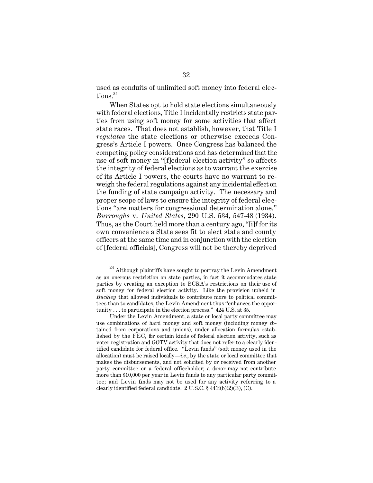used as conduits of unlimited soft money into federal elections.<sup>24</sup>

When States opt to hold state elections simultaneously with federal elections, Title I incidentally restricts state parties from using soft money for some activities that affect state races. That does not establish, however, that Title I *regulates* the state elections or otherwise exceeds Congress's Article I powers. Once Congress has balanced the competing policy considerations and has determined that the use of soft money in "[f]ederal election activity" so affects the integrity of federal elections as to warrant the exercise of its Article I powers, the courts have no warrant to reweigh the federal regulations against any incidental effect on the funding of state campaign activity. The necessary and proper scope of laws to ensure the integrity of federal elections "are matters for congressional determination alone." *Burroughs* v. *United States*, 290 U.S. 534, 547-48 (1934). Thus, as the Court held more than a century ago, "[i]f for its own convenience a State sees fit to elect state and county officers at the same time and in conjunction with the election of [federal officials], Congress will not be thereby deprived

 $^{24}$  Although plaintiffs have sought to portray the Levin Amendment as an onerous restriction on state parties, in fact it accommodates state parties by creating an exception to BCRA's restrictions on their use of soft money for federal election activity. Like the provision upheld in *Buckley* that allowed individuals to contribute more to political committees than to candidates, the Levin Amendment thus "enhances the opportunity . . . to participate in the election process." 424 U.S. at 35.

Under the Levin Amendment, a state or local party committee may use combinations of hard money and soft money (including money obtained from corporations and unions), under allocation formulas established by the FEC, for certain kinds of federal election activity, such as voter registration and GOTV activity that does not refer to a clearly identified candidate for federal office. "Levin funds" (soft money used in the allocation) must be raised locally—*i.e.*, by the state or local committee that makes the disbursements, and not solicited by or received from another party committee or a federal officeholder; a donor may not contribute more than \$10,000 per year in Levin funds to any particular party committee; and Levin funds may not be used for any activity referring to a clearly identified federal candidate. 2 U.S.C. § 441i(b)(2)(B), (C).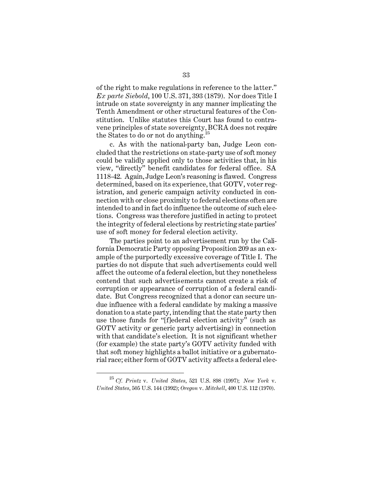of the right to make regulations in reference to the latter." *Ex parte Siebold*, 100 U.S. 371, 393 (1879). Nor does Title I intrude on state sovereignty in any manner implicating the Tenth Amendment or other structural features of the Constitution. Unlike statutes this Court has found to contravene principles of state sovereignty, BCRA does not require the States to do or not do anything.<sup>25</sup>

c. As with the national-party ban, Judge Leon concluded that the restrictions on state-party use of soft money could be validly applied only to those activities that, in his view, "directly" benefit candidates for federal office. SA 1118-42. Again, Judge Leon's reasoning is flawed. Congress determined, based on its experience, that GOTV, voter registration, and generic campaign activity conducted in connection with or close proximity to federal elections often are intended to and in fact do influence the outcome of such elections. Congress was therefore justified in acting to protect the integrity of federal elections by restricting state parties' use of soft money for federal election activity.

The parties point to an advertisement run by the California Democratic Party opposing Proposition 209 as an example of the purportedly excessive coverage of Title I. The parties do not dispute that such advertisements could well affect the outcome of a federal election, but they nonetheless contend that such advertisements cannot create a risk of corruption or appearance of corruption of a federal candidate. But Congress recognized that a donor can secure undue influence with a federal candidate by making a massive donation to a state party, intending that the state party then use those funds for "[f]ederal election activity" (such as GOTV activity or generic party advertising) in connection with that candidate's election. It is not significant whether (for example) the state party's GOTV activity funded with that soft money highlights a ballot initiative or a gubernatorial race; either form of GOTV activity affects a federal elec-

<sup>25</sup>*Cf. Printz* v. *United States*, 521 U.S. 898 (1997); *New York* v. *United States*, 505 U.S. 144 (1992); *Oregon* v. *Mitchell*, 400 U.S. 112 (1970).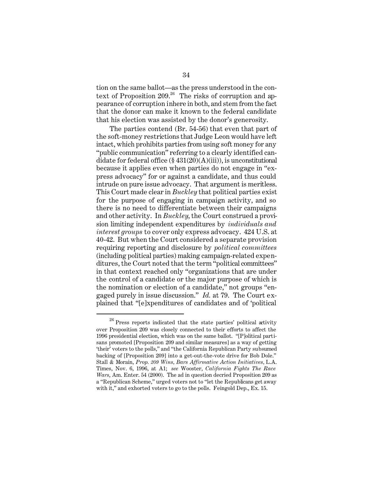tion on the same ballot—as the press understood in the context of Proposition  $209$ <sup>26</sup> The risks of corruption and appearance of corruption inhere in both, and stem from the fact that the donor can make it known to the federal candidate that his election was assisted by the donor's generosity.

The parties contend (Br. 54-56) that even that part of the soft-money restrictions that Judge Leon would have left intact, which prohibits parties from using soft money for any "public communication" referring to a clearly identified candidate for federal office  $(\S 431(20)(A)(iii))$ , is unconstitutional because it applies even when parties do not engage in "express advocacy" for or against a candidate, and thus could intrude on pure issue advocacy. That argument is meritless. This Court made clear in *Buckley* that political parties exist for the purpose of engaging in campaign activity, and so there is no need to differentiate between their campaigns and other activity. In *Buckley*, the Court construed a provision limiting independent expenditures by *individuals and interest groups* to cover only express advocacy. 424 U.S. at 40-42. But when the Court considered a separate provision requiring reporting and disclosure by *political committees*  (including political parties) making campaign-related expenditures, the Court noted that the term "political committees" in that context reached only "organizations that are under the control of a candidate or the major purpose of which is the nomination or election of a candidate," not groups "engaged purely in issue discussion." *Id.* at 79. The Court explained that "[e]xpenditures of candidates and of 'political

 $26$  Press reports indicated that the state parties' political activity over Proposition 209 was closely connected to their efforts to affect the 1996 presidential election, which was on the same ballot. "[P]olitical partisans promoted [Proposition 209 and similar measures] as a way of getting 'their' voters to the polls," and "the California Republican Party subsumed backing of [Proposition 209] into a get-out-the-vote drive for Bob Dole." Stall & Morain, *Prop. 209 Wins, Bars Affirmative Action Initiatives,* L.A. Times, Nov. 6, 1996, at A1; *see* Wooster, *California Fights The Race Wars*, Am. Enter. 54 (2000). The ad in question decried Proposition 209 as a "Republican Scheme," urged voters not to "let the Republicans get away with it," and exhorted voters to go to the polls. Feingold Dep., Ex. 15.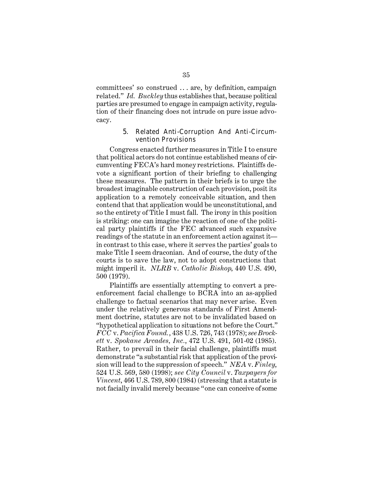committees' so construed . . . are, by definition, campaign related." *Id. Buckley* thus establishes that, because political parties are presumed to engage in campaign activity, regulation of their financing does not intrude on pure issue advocacy.

## 5. Related Anti-Corruption And Anti-Circumvention Provisions

Congress enacted further measures in Title I to ensure that political actors do not continue established means of circumventing FECA's hard money restrictions. Plaintiffs devote a significant portion of their briefing to challenging these measures. The pattern in their briefs is to urge the broadest imaginable construction of each provision, posit its application to a remotely conceivable situation, and then contend that that application would be unconstitutional, and so the entirety of Title I must fall. The irony in this position is striking: one can imagine the reaction of one of the political party plaintiffs if the FEC advanced such expansive readings of the statute in an enforcement action against it in contrast to this case, where it serves the parties' goals to make Title I seem draconian. And of course, the duty of the courts is to save the law, not to adopt constructions that might imperil it. *NLRB* v. *Catholic Bishop*, 440 U.S. 490, 500 (1979).

Plaintiffs are essentially attempting to convert a preenforcement facial challenge to BCRA into an as-applied challenge to factual scenarios that may never arise. Even under the relatively generous standards of First Amendment doctrine, statutes are not to be invalidated based on "hypothetical application to situations not before the Court." *FCC* v. *Pacifica Found.*, 438 U.S. 726, 743 (1978); *see Brockett* v. *Spokane Arcades, Inc.*, 472 U.S. 491, 501-02 (1985). Rather, to prevail in their facial challenge, plaintiffs must demonstrate "a substantial risk that application of the provision will lead to the suppression of speech." *NEA* v. *Finley*, 524 U.S. 569, 580 (1998); *see City Council* v. *Taxpayers for Vincent*, 466 U.S. 789, 800 (1984) (stressing that a statute is not facially invalid merely because "one can conceive of some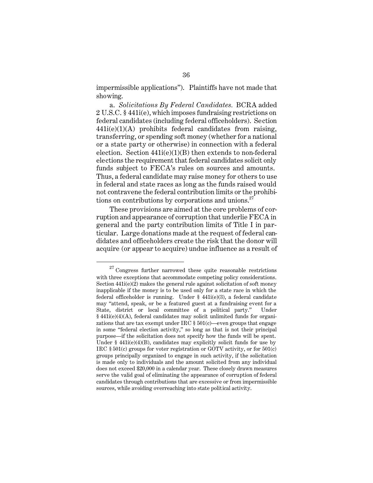impermissible applications"). Plaintiffs have not made that showing.

a. *Solicitations By Federal Candidates.* BCRA added 2 U.S.C. § 441i(e), which imposes fundraising restrictions on federal candidates (including federal officeholders). Section 441i(e)(1)(A) prohibits federal candidates from raising, transferring, or spending soft money (whether for a national or a state party or otherwise) in connection with a federal election. Section 441i(e)(1)(B) then extends to non-federal elections the requirement that federal candidates solicit only funds subject to FECA's rules on sources and amounts. Thus, a federal candidate may raise money for others to use in federal and state races as long as the funds raised would not contravene the federal contribution limits or the prohibitions on contributions by corporations and unions. $27$ 

These provisions are aimed at the core problems of corruption and appearance of corruption that underlie FECA in general and the party contribution limits of Title I in particular. Large donations made at the request of federal candidates and officeholders create the risk that the donor will acquire (or appear to acquire) undue influence as a result of

 $27$  Congress further narrowed these quite reasonable restrictions with three exceptions that accommodate competing policy considerations. Section 441i(e)(2) makes the general rule against solicitation of soft money inapplicable if the money is to be used only for a state race in which the federal officeholder is running. Under § 441i(e)(3), a federal candidate may "attend, speak, or be a featured guest at a fundraising event for a State, district or local committee of a political party." Under § 441i(e)(4)(A), federal candidates may solicit unlimited funds for organizations that are tax exempt under IRC  $\S 501(c)$ —even groups that engage in some "federal election activity," so long as that is not their principal purpose—if the solicitation does not specify how the funds will be spent. Under § 441i(e)(4)(B), candidates may explicitly solicit funds for use by IRC § 501(c) groups for voter registration or GOTV activity, or for 501(c) groups principally organized to engage in such activity, if the solicitation is made only to individuals and the amount solicited from any individual does not exceed \$20,000 in a calendar year. These closely drawn measures serve the valid goal of eliminating the appearance of corruption of federal candidates through contributions that are excessive or from impermissible sources, while avoiding overreaching into state political activity.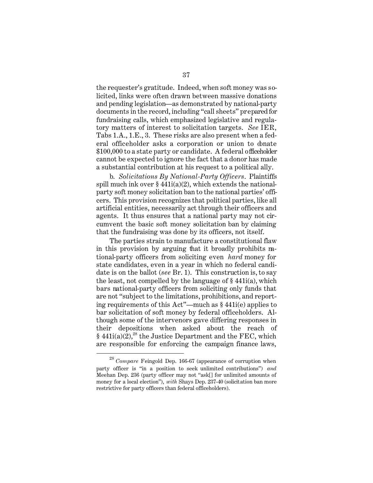the requester's gratitude. Indeed, when soft money was solicited, links were often drawn between massive donations and pending legislation—as demonstrated by national-party documents in the record, including "call sheets" prepared for fundraising calls, which emphasized legislative and regulatory matters of interest to solicitation targets. *See* IER, Tabs 1.A., 1.E., 3. These risks are also present when a federal officeholder asks a corporation or union to donate \$100,000 to a state party or candidate. A federal officeholder cannot be expected to ignore the fact that a donor has made a substantial contribution at his request to a political ally.

b. *Solicitations By National-Party Officers*. Plaintiffs spill much ink over  $\S 441i(a)(2)$ , which extends the nationalparty soft money solicitation ban to the national parties' officers. This provision recognizes that political parties, like all artificial entities, necessarily act through their officers and agents. It thus ensures that a national party may not circumvent the basic soft money solicitation ban by claiming that the fundraising was done by its officers, not itself.

The parties strain to manufacture a constitutional flaw in this provision by arguing that it broadly prohibits national-party officers from soliciting even *hard* money for state candidates, even in a year in which no federal candidate is on the ballot (*see* Br. 1). This construction is, to say the least, not compelled by the language of § 441i(a), which bars national-party officers from soliciting only funds that are not "subject to the limitations, prohibitions, and reporting requirements of this Act"—much as § 441i(e) applies to bar solicitation of soft money by federal officeholders. Although some of the intervenors gave differing responses in their depositions when asked about the reach of § 441 $i(a)(2)$ <sup>28</sup>, the Justice Department and the FEC, which are responsible for enforcing the campaign finance laws,

<sup>28</sup>*Compare* Feingold Dep. 166-67 (appearance of corruption when party officer is "in a position to seek unlimited contributions") *and*  Meehan Dep. 236 (party officer may not "ask[] for unlimited amounts of money for a local election"), *with* Shays Dep. 237-40 (solicitation ban more restrictive for party officers than federal officeholders).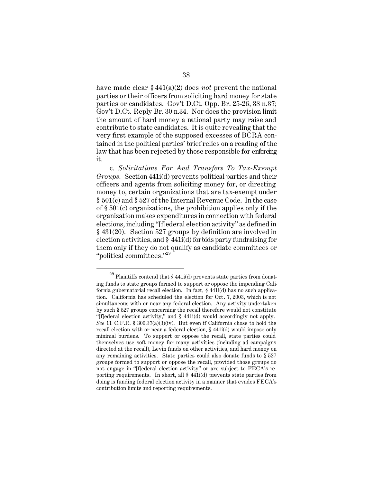have made clear § 441(a)(2) does *not* prevent the national parties or their officers from soliciting hard money for state parties or candidates. Gov't D.Ct. Opp. Br. 25-26, 38 n.37; Gov't D.Ct. Reply Br. 30 n.34. Nor does the provision limit the amount of hard money a national party may raise and contribute to state candidates. It is quite revealing that the very first example of the supposed excesses of BCRA contained in the political parties' brief relies on a reading of the law that has been rejected by those responsible for enforcing it.

c. *Solicitations For And Transfers To Tax-Exempt Groups.* Section 441i(d) prevents political parties and their officers and agents from soliciting money for, or directing money to, certain organizations that are tax-exempt under § 501(c) and § 527 of the Internal Revenue Code. In the case of § 501(c) organizations, the prohibition applies only if the organization makes expenditures in connection with federal elections, including "[f]ederal election activity" as defined in § 431(20). Section 527 groups by definition are involved in election activities, and § 441i(d) forbids party fundraising for them only if they do not qualify as candidate committees or "political committees."<sup>29</sup>

 $^{29}$  Plaintiffs contend that § 441i(d) prevents state parties from donating funds to state groups formed to support or oppose the impending California gubernatorial recall election. In fact, § 441i(d) has no such application. California has scheduled the election for Oct. 7, 2003, which is not simultaneous with or near any federal election. Any activity undertaken by such § 527 groups concerning the recall therefore would not constitute "[f]ederal election activity," and § 441i(d) would accordingly not apply. *See* 11 C.F.R. § 300.37(a)(3)(iv). But even if California chose to hold the recall election with or near a federal election, § 441i(d) would impose only minimal burdens. To support or oppose the recall, state parties could themselves use soft money for many activities (including ad campaigns directed at the recall), Levin funds on other activities, and hard money on any remaining activities. State parties could also donate funds to § 527 groups formed to support or oppose the recall, provided those groups do not engage in "[f]ederal election activity" or are subject to FECA's reporting requirements. In short, all § 441i(d) prevents state parties from doing is funding federal election activity in a manner that evades FECA's contribution limits and reporting requirements.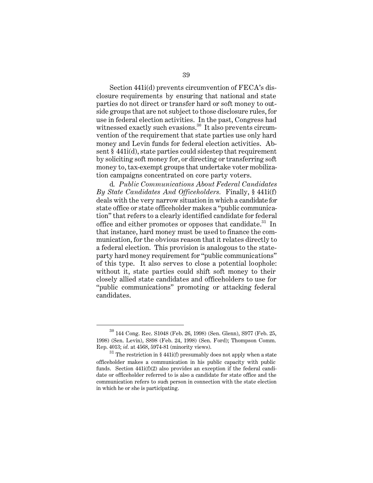Section 441i(d) prevents circumvention of FECA's disclosure requirements by ensuring that national and state parties do not direct or transfer hard or soft money to outside groups that are not subject to those disclosure rules, for use in federal election activities. In the past, Congress had witnessed exactly such evasions.<sup>30</sup> It also prevents circumvention of the requirement that state parties use only hard money and Levin funds for federal election activities. Absent § 441i(d), state parties could sidestep that requirement by soliciting soft money for, or directing or transferring soft money to, tax-exempt groups that undertake voter mobilization campaigns concentrated on core party voters.

d. *Public Communications About Federal Candidates By State Candidates And Officeholders.* Finally, § 441i(f) deals with the very narrow situation in which a candidate for state office or state officeholder makes a "public communication" that refers to a clearly identified candidate for federal office and either promotes or opposes that candidate.<sup>31</sup> In that instance, hard money must be used to finance the communication, for the obvious reason that it relates directly to a federal election. This provision is analogous to the stateparty hard money requirement for "public communications" of this type. It also serves to close a potential loophole: without it, state parties could shift soft money to their closely allied state candidates and officeholders to use for "public communications" promoting or attacking federal candidates.

<sup>30 144</sup> Cong. Rec. S1048 (Feb. 26, 1998) (Sen. Glenn), S977 (Feb. 25, 1998) (Sen. Levin), S898 (Feb. 24, 1998) (Sen. Ford); Thompson Comm. Rep. 4013; *id.* at 4568, 5974-81 (minority views).

 $31$ <sup>31</sup> The restriction in § 441i(f) presumably does not apply when a state officeholder makes a communication in his public capacity with public funds. Section 441i(f)(2) also provides an exception if the federal candidate or officeholder referred to is also a candidate for state office and the communication refers to such person in connection with the state election in which he or she is participating.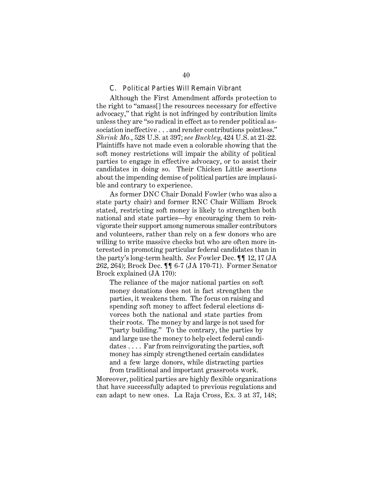## C. Political Parties Will Remain Vibrant

Although the First Amendment affords protection to the right to "amass[] the resources necessary for effective advocacy," that right is not infringed by contribution limits unless they are "so radical in effect as to render political association ineffective . . . and render contributions pointless." *Shrink Mo.*, 528 U.S. at 397; *see Buckley*, 424 U.S. at 21-22. Plaintiffs have not made even a colorable showing that the soft money restrictions will impair the ability of political parties to engage in effective advocacy, or to assist their candidates in doing so. Their Chicken Little assertions about the impending demise of political parties are implausible and contrary to experience.

As former DNC Chair Donald Fowler (who was also a state party chair) and former RNC Chair William Brock stated, restricting soft money is likely to strengthen both national and state parties—by encouraging them to reinvigorate their support among numerous smaller contributors and volunteers, rather than rely on a few donors who are willing to write massive checks but who are often more interested in promoting particular federal candidates than in the party's long-term health. *See* Fowler Dec. ¶¶ 12, 17 (JA 262, 264); Brock Dec. ¶¶ 6-7 (JA 170-71). Former Senator Brock explained (JA 170):

The reliance of the major national parties on soft money donations does not in fact strengthen the parties, it weakens them. The focus on raising and spending soft money to affect federal elections divorces both the national and state parties from their roots. The money by and large is not used for "party building." To the contrary, the parties by and large use the money to help elect federal candidates . . . . Far from reinvigorating the parties, soft money has simply strengthened certain candidates and a few large donors, while distracting parties from traditional and important grassroots work.

Moreover, political parties are highly flexible organizations that have successfully adapted to previous regulations and can adapt to new ones. La Raja Cross, Ex. 3 at 37, 148;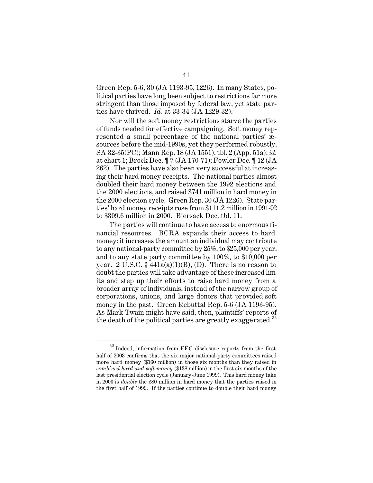Green Rep. 5-6, 30 (JA 1193-95, 1226). In many States, political parties have long been subject to restrictions far more stringent than those imposed by federal law, yet state parties have thrived. *Id.* at 33-34 (JA 1229-32).

Nor will the soft money restrictions starve the parties of funds needed for effective campaigning. Soft money represented a small percentage of the national parties' resources before the mid-1990s, yet they performed robustly. SA 32-35(PC); Mann Rep. 18 (JA 1551), tbl. 2 (App. 51a); *id.*  at chart 1; Brock Dec. ¶ 7 (JA 170-71); Fowler Dec. ¶ 12 (JA 262). The parties have also been very successful at increasing their hard money receipts. The national parties almost doubled their hard money between the 1992 elections and the 2000 elections, and raised \$741 million in hard money in the 2000 election cycle. Green Rep. 30 (JA 1226). State parties' hard money receipts rose from \$111.2 million in 1991-92 to \$309.6 million in 2000. Biersack Dec. tbl. 11.

The parties will continue to have access to enormous financial resources. BCRA expands their access to hard money: it increases the amount an individual may contribute to any national-party committee by 25%, to \$25,000 per year, and to any state party committee by 100%, to \$10,000 per year.  $2 \text{ U.S.C. } §$  441a(a)(1)(B), (D). There is no reason to doubt the parties will take advantage of these increased limits and step up their efforts to raise hard money from a broader array of individuals, instead of the narrow group of corporations, unions, and large donors that provided soft money in the past. Green Rebuttal Rep. 5-6 (JA 1193-95). As Mark Twain might have said, then, plaintiffs' reports of the death of the political parties are greatly exaggerated.<sup>32</sup>

 $^\mathrm{32}$  Indeed, information from FEC disclosure reports from the first half of 2003 confirms that the six major national-party committees raised more hard money (\$160 million) in those six months than they raised in *combined hard and soft money* (\$138 million) in the first six months of the last presidential election cycle (January-June 1999). This hard money take in 2003 is *double* the \$80 million in hard money that the parties raised in the first half of 1999. If the parties continue to double their hard money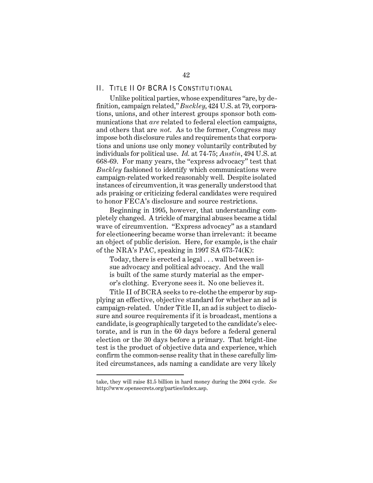## II. TITLE II OF BCRA IS CONSTITUTIONAL

Unlike political parties, whose expenditures "are, by definition, campaign related," *Buckley*, 424 U.S. at 79, corporations, unions, and other interest groups sponsor both communications that *are* related to federal election campaigns, and others that are *not*. As to the former, Congress may impose both disclosure rules and requirements that corporations and unions use only money voluntarily contributed by individuals for political use. *Id.* at 74-75; *Austin*, 494 U.S. at 668-69. For many years, the "express advocacy" test that *Buckley* fashioned to identify which communications were campaign-related worked reasonably well. Despite isolated instances of circumvention, it was generally understood that ads praising or criticizing federal candidates were required to honor FECA's disclosure and source restrictions.

Beginning in 1995, however, that understanding completely changed. A trickle of marginal abuses became a tidal wave of circumvention. "Express advocacy" as a standard for electioneering became worse than irrelevant: it became an object of public derision. Here, for example, is the chair of the NRA's PAC, speaking in 1997 SA 673-74(K):

Today, there is erected a legal . . . wall between issue advocacy and political advocacy. And the wall is built of the same sturdy material as the emperor's clothing. Everyone sees it. No one believes it.

Title II of BCRA seeks to re-clothe the emperor by supplying an effective, objective standard for whether an ad is campaign-related. Under Title II, an ad is subject to disclosure and source requirements if it is broadcast, mentions a candidate, is geographically targeted to the candidate's electorate, and is run in the 60 days before a federal general election or the 30 days before a primary. That bright-line test is the product of objective data and experience, which confirm the common-sense reality that in these carefully limited circumstances, ads naming a candidate are very likely

take, they will raise \$1.5 billion in hard money during the 2004 cycle. *See*  http://www.opensecrets.org/parties/index.asp.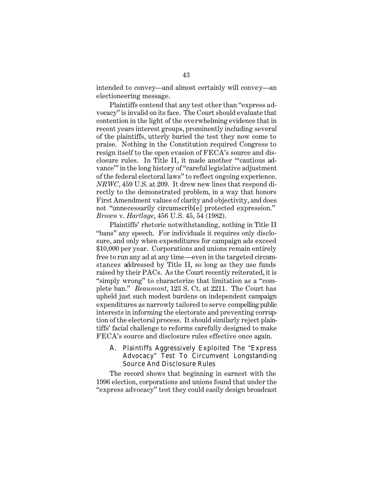intended to convey—and almost certainly will convey—an electioneering message.

Plaintiffs contend that any test other than "express advocacy" is invalid on its face. The Court should evaluate that contention in the light of the overwhelming evidence that in recent years interest groups, prominently including several of the plaintiffs, utterly buried the test they now come to praise. Nothing in the Constitution required Congress to resign itself to the open evasion of FECA's source and disclosure rules. In Title II, it made another "'cautious advance'" in the long history of "careful legislative adjustment of the federal electoral laws" to reflect ongoing experience. *NRWC*, 459 U.S. at 209. It drew new lines that respond directly to the demonstrated problem, in a way that honors First Amendment values of clarity and objectivity, and does not "unnecessarily circumscrib[e] protected expression." *Brown* v. *Hartlage*, 456 U.S. 45, 54 (1982).

Plaintiffs' rhetoric notwithstanding, nothing in Title II "bans" any speech. For individuals it requires only disclosure, and only when expenditures for campaign ads exceed \$10,000 per year. Corporations and unions remain entirely free to run any ad at any time—even in the targeted circumstances addressed by Title II, so long as they use funds raised by their PACs. As the Court recently reiterated, it is "simply wrong" to characterize that limitation as a "complete ban." *Beaumont*, 123 S. Ct. at 2211. The Court has upheld just such modest burdens on independent campaign expenditures as narrowly tailored to serve compelling public interests in informing the electorate and preventing corruption of the electoral process. It should similarly reject plaintiffs' facial challenge to reforms carefully designed to make FECA's source and disclosure rules effective once again.

# A. Plaintiffs Aggressively Exploited The "Express Advocacy" Test To Circumvent Longstanding Source And Disclosure Rules

The record shows that beginning in earnest with the 1996 election, corporations and unions found that under the "express advocacy" test they could easily design broadcast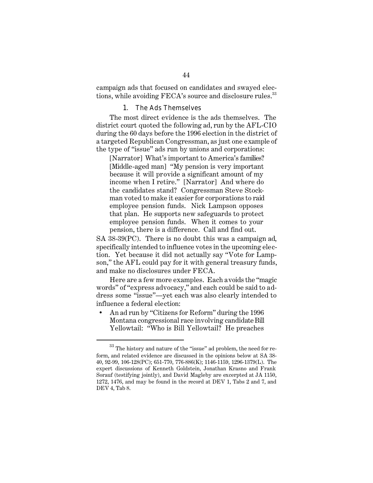campaign ads that focused on candidates and swayed elections, while avoiding FECA's source and disclosure rules.<sup>33</sup>

#### 1. The Ads Themselves

The most direct evidence is the ads themselves. The district court quoted the following ad, run by the AFL-CIO during the 60 days before the 1996 election in the district of a targeted Republican Congressman, as just one example of the type of "issue" ads run by unions and corporations:

[Narrator] What's important to America's families? [Middle-aged man] "My pension is very important because it will provide a significant amount of my income when I retire." [Narrator] And where do the candidates stand? Congressman Steve Stockman voted to make it easier for corporations to raid employee pension funds. Nick Lampson opposes that plan. He supports new safeguards to protect employee pension funds. When it comes to your pension, there is a difference. Call and find out.

SA 38-39(PC). There is no doubt this was a campaign ad, specifically intended to influence votes in the upcoming election. Yet because it did not actually say "Vote for Lampson," the AFL could pay for it with general treasury funds, and make no disclosures under FECA.

Here are a few more examples. Each avoids the "magic words" of "express advocacy," and each could be said to address some "issue"—yet each was also clearly intended to influence a federal election:

• An ad run by "Citizens for Reform" during the 1996 Montana congressional race involving candidate Bill Yellowtail: "Who is Bill Yellowtail? He preaches

 $^\mathrm{33}$  The history and nature of the "issue" ad problem, the need for reform, and related evidence are discussed in the opinions below at SA 38- 40, 92-99, 106-128(PC); 651-770, 776-886(K); 1146-1159, 1296-1379(L). The expert discussions of Kenneth Goldstein, Jonathan Krasno and Frank Sorauf (testifying jointly), and David Magleby are excerpted at JA 1150, 1272, 1476, and may be found in the record at DEV 1, Tabs 2 and 7, and DEV 4, Tab 8.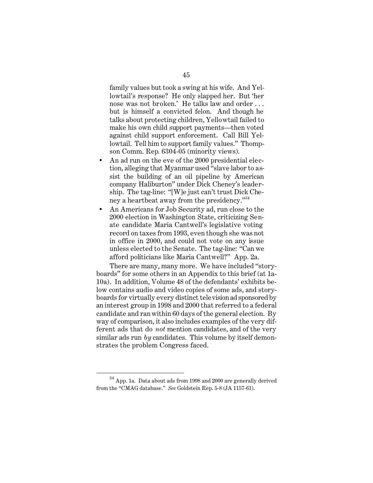family values but took a swing at his wife. And Yellowtail's response? He only slapped her. But 'her nose was not broken.' He talks law and order . . . but is himself a convicted felon. And though he talks about protecting children, Yellowtail failed to make his own child support payments—then voted against child support enforcement. Call Bill Yellowtail. Tell him to support family values." Thompson Comm. Rep*.* 6304-05 (minority views).

- An ad run on the eve of the 2000 presidential election, alleging that Myanmar used "slave labor to assist the building of an oil pipeline by American company Haliburton" under Dick Cheney's leadership. The tag-line: "[W]e just can't trust Dick Cheney a heartbeat away from the presidency."<sup>34</sup>
- An Americans for Job Security ad, run close to the 2000 election in Washington State, criticizing Senate candidate Maria Cantwell's legislative voting record on taxes from 1993, even though she was not in office in 2000, and could not vote on any issue unless elected to the Senate. The tag-line: "Can we afford politicians like Maria Cantwell?" App. 2a.

There are many, many more. We have included "storyboards" for some others in an Appendix to this brief (at 1a-10a). In addition, Volume 48 of the defendants' exhibits below contains audio and video copies of some ads, and storyboards for virtually every distinct television ad sponsored by an interest group in 1998 and 2000 that referred to a federal candidate and ran within 60 days of the general election. By way of comparison, it also includes examples of the very different ads that do *not* mention candidates, and of the very similar ads run *by* candidates. This volume by itself demonstrates the problem Congress faced.

 $^{34}$  App. 1a. Data about ads from 1998 and 2000 are generally derived from the "CMAG database." *See* Goldstein Rep. 5-8 (JA 1157-61).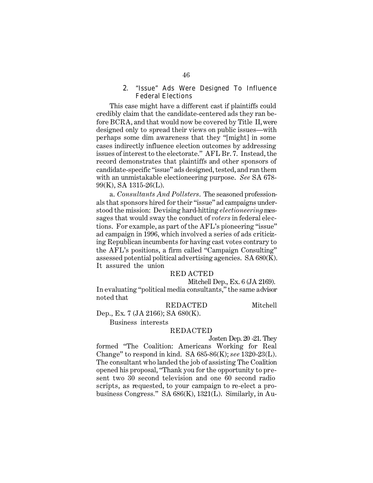# 2. "Issue" Ads Were Designed To Influence Federal Elections

This case might have a different cast if plaintiffs could credibly claim that the candidate-centered ads they ran before BCRA, and that would now be covered by Title II, were designed only to spread their views on public issues—with perhaps some dim awareness that they "[might] in some cases indirectly influence election outcomes by addressing issues of interest to the electorate." AFL Br. 7. Instead, the record demonstrates that plaintiffs and other sponsors of candidate-specific "issue" ads designed, tested, and ran them with an unmistakable electioneering purpose. *See* SA 678- 99(K), SA 1315-26(L).

a. *Consultants And Pollsters*. The seasoned professionals that sponsors hired for their "issue" ad campaigns understood the mission: Devising hard-hitting *electioneering* messages that would sway the conduct of *voters* in federal elections. For example, as part of the AFL's pioneering "issue" ad campaign in 1996, which involved a series of ads criticizing Republican incumbents for having cast votes contrary to the AFL's positions, a firm called "Campaign Consulting" assessed potential political advertising agencies. SA 680(K). It assured the union

#### RED ACTED

Mitchell Dep., Ex. 6 (JA 2169).

In evaluating "political media consultants," the same advisor noted that

REDACTED Mitchell Dep., Ex. 7 (JA 2166); SA 680(K).

Business interests

#### REDACTED

Josten Dep. 20 -21. They

formed "The Coalition: Americans Working for Real Change" to respond in kind. SA 685-86(K); *see* 1320-23(L). The consultant who landed the job of assisting The Coalition opened his proposal, "Thank you for the opportunity to present two 30 second television and one 60 second radio scripts, as requested, to your campaign to re-elect a probusiness Congress*.*" SA 686(K), 1321(L). Similarly, in Au-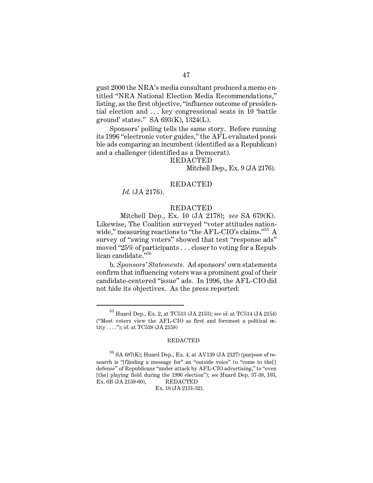gust 2000 the NRA's media consultant produced a memo entitled "NRA National Election Media Recommendations," listing, as the first objective, "influence outcome of presidential election and . . . key congressional seats in 10 'battle ground' states." SA 693(K), 1324(L).

Sponsors' polling tells the same story. Before running its 1996 "electronic voter guides," the AFL evaluated possible ads comparing an incumbent (identified as a Republican) and a challenger (identified as a Democrat).

#### REDACTED

Mitchell Dep., Ex. 9 (JA 2176).

## REDACTED

*Id.* (JA 2176).

#### REDACTED

Mitchell Dep., Ex. 10 (JA 2178); *see* SA 679(K). Likewise, The Coalition surveyed "voter attitudes nationwide," measuring reactions to "the AFL-CIO's claims."<sup>35</sup> A survey of "swing voters" showed that test "response ads" moved "25% of participants . . . closer to voting for a Republican candidate."36

b. *Sponsors' Statements.* Ad sponsors' own statements confirm that influencing voters was a prominent goal of their candidate-centered "issue" ads. In 1996, the AFL-CIO did not hide its objectives. As the press reported:

#### REDACTED

Ex. 18 (JA 2131-32).

 $^{35}$  Huard Dep., Ex. 2, at TC513 (JA 2153);  $\emph{see}$   $\emph{id.}$  at TC514 (JA 2154) ("Most voters view the AFL-CIO as first and foremost a political entity . . . ."); *id*. at TC538 (JA 2158)

 $36$  SA 687(K); Huard Dep., Ex. 4, at AV139 (JA 2127) (purpose of research is "[f]inding a message for" an "outside voice" to "come to the[] defense" of Republicans "under attack by AFL-CIO advertising," to "even [the] playing field during the 1996 election"); *see* Huard Dep. 37-38, 103, Ex. 6B (JA 2159-60), REDACTED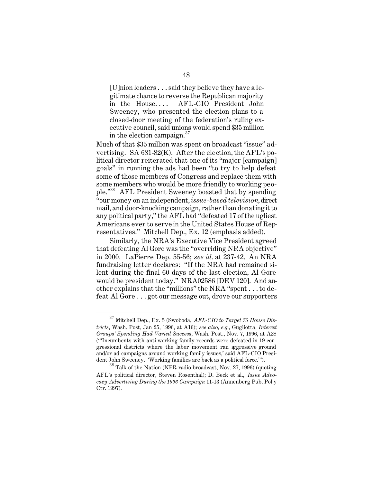[U]nion leaders . . . said they believe they have a legitimate chance to reverse the Republican majority in the House.... AFL-CIO President John Sweeney, who presented the election plans to a closed-door meeting of the federation's ruling executive council, said unions would spend \$35 million in the election campaign. $37$ 

Much of that \$35 million was spent on broadcast "issue" advertising. SA 681-82(K). After the election, the AFL's political director reiterated that one of its "major [campaign] goals" in running the ads had been "to try to help defeat some of those members of Congress and replace them with some members who would be more friendly to working people."38 AFL President Sweeney boasted that by spending "our money on an independent, *issue-based television*, direct mail, and door-knocking campaign, rather than donating it to any political party," the AFL had "defeated 17 of the ugliest Americans ever to serve in the United States House of Representatives." Mitchell Dep., Ex. 12 (emphasis added).

Similarly, the NRA's Executive Vice President agreed that defeating Al Gore was the "overriding NRA objective" in 2000. LaPierre Dep. 55-56; *see id*. at 237-42. An NRA fundraising letter declares: "If the NRA had remained silent during the final 60 days of the last election, Al Gore would be president today." NRA02586 [DEV 120]. And another explains that the "millions" the NRA "spent . . . to defeat Al Gore . . . got our message out, drove our supporters

<sup>37</sup> Mitchell Dep., Ex. 5 (Swoboda, *AFL-CIO to Target 75 House Districts*, Wash. Post, Jan 25, 1996, at A16); *see also, e.g.*, Gugliotta, *Interest Groups' Spending Had Varied Success*, Wash. Post., Nov. 7, 1996, at A28 ("'Incumbents with anti-working family records were defeated in 19 congressional districts where the labor movement ran aggressive ground and/or ad campaigns around working family issues,' said AFL-CIO President John Sweeney. 'Working families are back as a political force.'").

<sup>38</sup> Talk of the Nation (NPR radio broadcast, Nov. 27, 1996) (quoting AFL's political director, Steven Rosenthal); D. Beck et al., *Issue Advocacy Advertising During the 1996 Campaign* 11-13 (Annenberg Pub. Pol'y Ctr. 1997).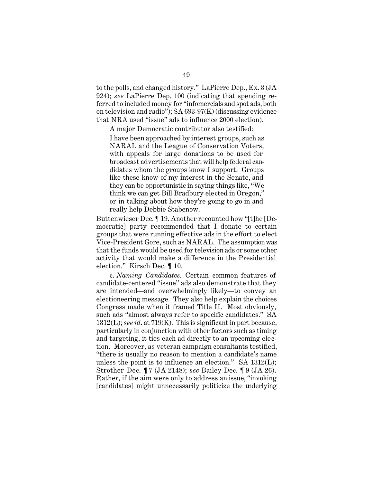to the polls, and changed history." LaPierre Dep., Ex. 3 (JA 924); *see* LaPierre Dep. 100 (indicating that spending referred to included money for "infomercials and spot ads, both on television and radio"); SA 693-97(K) (discussing evidence that NRA used "issue" ads to influence 2000 election).

A major Democratic contributor also testified: I have been approached by interest groups, such as NARAL and the League of Conservation Voters, with appeals for large donations to be used for broadcast advertisements that will help federal candidates whom the groups know I support. Groups like these know of my interest in the Senate, and they can be opportunistic in saying things like, "We think we can get Bill Bradbury elected in Oregon," or in talking about how they're going to go in and really help Debbie Stabenow.

Buttenwieser Dec. ¶ 19. Another recounted how "[t]he [Democratic] party recommended that I donate to certain groups that were running effective ads in the effort to elect Vice-President Gore, such as NARAL. The assumption was that the funds would be used for television ads or some other activity that would make a difference in the Presidential election." Kirsch Dec. ¶ 10.

c. *Naming Candidates*. Certain common features of candidate-centered "issue" ads also demonstrate that they are intended—and overwhelmingly likely—to convey an electioneering message. They also help explain the choices Congress made when it framed Title II. Most obviously, such ads "almost always refer to specific candidates." SA 1312(L); *see id*. at 719(K). This is significant in part because, particularly in conjunction with other factors such as timing and targeting, it ties each ad directly to an upcoming election. Moreover, as veteran campaign consultants testified, "there is usually no reason to mention a candidate's name unless the point is to influence an election." SA 1312(L); Strother Dec. ¶ 7 (JA 2148); *see* Bailey Dec. ¶ 9 (JA 26). Rather, if the aim were only to address an issue, "invoking [candidates] might unnecessarily politicize the underlying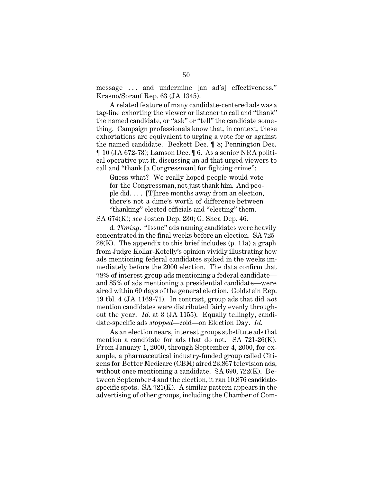message . . . and undermine [an ad's] effectiveness." Krasno/Sorauf Rep. 63 (JA 1345).

A related feature of many candidate-centered ads was a tag-line exhorting the viewer or listener to call and "thank" the named candidate, or "ask" or "tell" the candidate something. Campaign professionals know that, in context, these exhortations are equivalent to urging a vote for or against the named candidate. Beckett Dec. ¶ 8; Pennington Dec. ¶ 10 (JA 672-73); Lamson Dec. ¶ 6. As a senior NRA political operative put it, discussing an ad that urged viewers to call and "thank [a Congressman] for fighting crime":

Guess what? We really hoped people would vote for the Congressman, not just thank him. And people did. . . . [T]hree months away from an election, there's not a dime's worth of difference between "thanking" elected officials and "electing" them.

SA 674(K); *see* Josten Dep. 230; G. Shea Dep. 46.

d. *Timing*. "Issue" ads naming candidates were heavily concentrated in the final weeks before an election. SA 725-  $28(K)$ . The appendix to this brief includes (p. 11a) a graph from Judge Kollar-Kotelly's opinion vividly illustrating how ads mentioning federal candidates spiked in the weeks immediately before the 2000 election. The data confirm that 78% of interest group ads mentioning a federal candidate and 85% of ads mentioning a presidential candidate—were aired within 60 days of the general election. Goldstein Rep. 19 tbl. 4 (JA 1169-71). In contrast, group ads that did *not*  mention candidates were distributed fairly evenly throughout the year. *Id*. at 3 (JA 1155). Equally tellingly, candidate-specific ads *stopped*—cold—on Election Day. *Id*.

As an election nears, interest groups substitute ads that mention a candidate for ads that do not. SA 721-26(K). From January 1, 2000, through September 4, 2000, for example, a pharmaceutical industry-funded group called Citizens for Better Medicare (CBM) aired 23,867 television ads, without once mentioning a candidate. SA 690, 722(K). Between September 4 and the election, it ran 10,876 candidatespecific spots. SA  $721(K)$ . A similar pattern appears in the advertising of other groups, including the Chamber of Com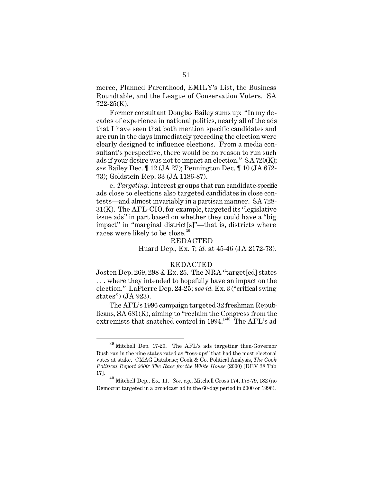merce, Planned Parenthood, EMILY's List, the Business Roundtable, and the League of Conservation Voters. SA 722-25(K).

Former consultant Douglas Bailey sums up: "In my decades of experience in national politics, nearly all of the ads that I have seen that both mention specific candidates and are run in the days immediately preceding the election were clearly designed to influence elections. From a media consultant's perspective, there would be no reason to run such ads if your desire was not to impact an election." SA 720(K); *see* Bailey Dec. ¶ 12 (JA 27); Pennington Dec. ¶ 10 (JA 672- 73); Goldstein Rep. 33 (JA 1186-87).

e. *Targeting.* Interest groups that ran candidate-specific ads close to elections also targeted candidates in close contests—and almost invariably in a partisan manner. SA 728- 31(K). The AFL-CIO, for example, targeted its "legislative issue ads" in part based on whether they could have a "big impact" in "marginal district[s]"—that is, districts where races were likely to be close.<sup>39</sup>

#### REDACTED

Huard Dep., Ex. 7; *id.* at 45-46 (JA 2172-73).

### REDACTED

Josten Dep. 269, 298 & Ex. 25. The NRA "target[ed] states . . . where they intended to hopefully have an impact on the election." LaPierre Dep. 24-25; *see id.* Ex. 3 ("critical swing states") (JA 923).

The AFL's 1996 campaign targeted 32 freshman Republicans, SA 681(K), aiming to "reclaim the Congress from the extremists that snatched control in 1994."<sup>40</sup> The AFL's ad

<sup>39</sup> Mitchell Dep. 17-20. The AFL's ads targeting then-Governor Bush ran in the nine states rated as "toss-ups" that had the most electoral votes at stake. CMAG Database; Cook & Co. Political Analysis, *The Cook Political Report 2000: The Race for the White House* (2000) [DEV 38 Tab 17].

<sup>40</sup> Mitchell Dep., Ex. 11. *See, e.g.*, Mitchell Cross 174, 178-79, 182 (no Democrat targeted in a broadcast ad in the 60-day period in 2000 or 1996).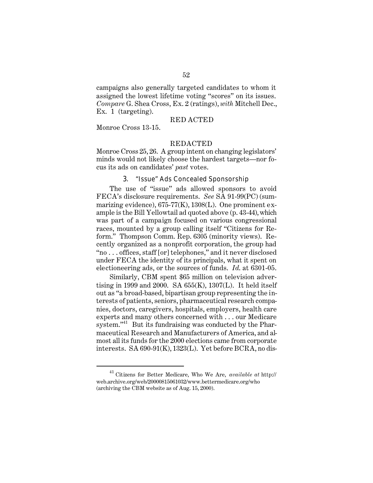campaigns also generally targeted candidates to whom it assigned the lowest lifetime voting "scores" on its issues. *Compare* G. Shea Cross, Ex. 2 (ratings), *with* Mitchell Dec., Ex. 1 (targeting).

#### RED ACTED

Monroe Cross 13-15.

#### REDACTED

Monroe Cross 25, 26. A group intent on changing legislators' minds would not likely choose the hardest targets—nor focus its ads on candidates' *past* votes.

## 3. "Issue" Ads Concealed Sponsorship

The use of "issue" ads allowed sponsors to avoid FECA's disclosure requirements. *See* SA 91-99(PC) (summarizing evidence),  $675-77(K)$ ,  $1308(L)$ . One prominent example is the Bill Yellowtail ad quoted above (p. 43-44), which was part of a campaign focused on various congressional races, mounted by a group calling itself "Citizens for Reform." Thompson Comm. Rep. 6305 (minority views). Recently organized as a nonprofit corporation, the group had "no . . . offices, staff [or] telephones," and it never disclosed under FECA the identity of its principals, what it spent on electioneering ads, or the sources of funds. *Id*. at 6301-05.

Similarly, CBM spent \$65 million on television advertising in 1999 and 2000. SA  $655(K)$ , 1307(L). It held itself out as "a broad-based, bipartisan group representing the interests of patients, seniors, pharmaceutical research companies, doctors, caregivers, hospitals, employers, health care experts and many others concerned with . . . our Medicare system."<sup>41</sup> But its fundraising was conducted by the Pharmaceutical Research and Manufacturers of America, and almost all its funds for the 2000 elections came from corporate interests. SA 690-91(K), 1323(L). Yet before BCRA, no dis-

<sup>41</sup> Citizens for Better Medicare, Who We Are, *available at* http:// web.archive.org/web/20000815061032/www.bettermedicare.org/who (archiving the CBM website as of Aug. 15, 2000).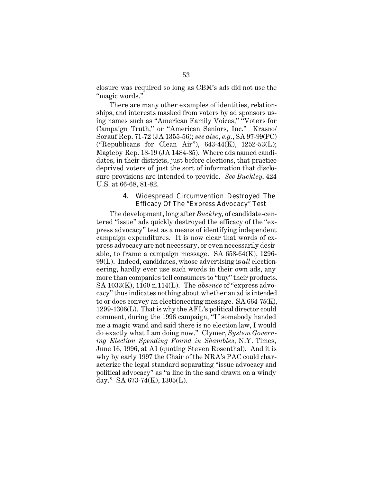closure was required so long as CBM's ads did not use the "magic words."

There are many other examples of identities, relationships, and interests masked from voters by ad sponsors using names such as "American Family Voices," "Voters for Campaign Truth," or "American Seniors, Inc." Krasno/ Sorauf Rep. 71-72 (JA 1355-56); *see also*, *e.g.*, SA 97-99(PC) ("Republicans for Clean Air"),  $643-44(K)$ ,  $1252-53(L)$ ; Magleby Rep. 18-19 (JA 1484-85). Where ads named candidates, in their districts, just before elections, that practice deprived voters of just the sort of information that disclosure provisions are intended to provide. *See Buckley*, 424 U.S. at 66-68, 81-82.

# 4. Widespread Circumvention Destroyed The Efficacy Of The "Express Advocacy" Test

The development, long after *Buckley*, of candidate-centered "issue" ads quickly destroyed the efficacy of the "express advocacy" test as a means of identifying independent campaign expenditures. It is now clear that words of express advocacy are not necessary, or even necessarily desirable, to frame a campaign message. SA 658-64(K), 1296- 99(L). Indeed, candidates, whose advertising is *all* electioneering, hardly ever use such words in their own ads, any more than companies tell consumers to "buy" their products. SA 1033(K), 1160 n.114(L). The *absence* of "express advocacy" thus indicates nothing about whether an ad is intended to or does convey an electioneering message. SA 664-75(K), 1299-1306(L). That is why the AFL's political director could comment, during the 1996 campaign, "If somebody handed me a magic wand and said there is no election law, I would do exactly what I am doing now." Clymer, *System Governing Election Spending Found in Shambles*, N.Y. Times, June 16, 1996, at A1 (quoting Steven Rosenthal). And it is why by early 1997 the Chair of the NRA's PAC could characterize the legal standard separating "issue advocacy and political advocacy" as "a line in the sand drawn on a windy day." SA 673-74(K), 1305(L).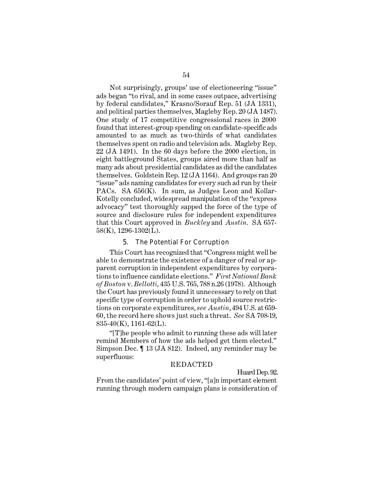Not surprisingly, groups' use of electioneering "issue" ads began "to rival, and in some cases outpace, advertising by federal candidates," Krasno/Sorauf Rep. 51 (JA 1331), and political parties themselves, Magleby Rep. 20 (JA 1487). One study of 17 competitive congressional races in 2000 found that interest-group spending on candidate-specific ads amounted to as much as two-thirds of what candidates themselves spent on radio and television ads. Magleby Rep. 22 (JA 1491). In the 60 days before the 2000 election, in eight battleground States, groups aired more than half as many ads about presidential candidates as did the candidates themselves. Goldstein Rep. 12 (JA 1164). And groups ran 20 "issue" ads naming candidates for every such ad run by their PACs. SA  $656(K)$ . In sum, as Judges Leon and Kollar-Kotelly concluded, widespread manipulation of the "express advocacy" test thoroughly sapped the force of the type of source and disclosure rules for independent expenditures that this Court approved in *Buckley* and *Austin*. SA 657- 58(K), 1296-1302(L).

#### 5. The Potential For Corruption

This Court has recognized that "Congress might well be able to demonstrate the existence of a danger of real or apparent corruption in independent expenditures by corporations to influence candidate elections." *First National Bank of Boston* v. *Bellotti*, 435 U.S. 765, 788 n.26 (1978). Although the Court has previously found it unnecessary to rely on that specific type of corruption in order to uphold source restrictions on corporate expenditures, *see Austin*, 494 U.S. at 659- 60, the record here shows just such a threat. *See* SA 708-19, 835-40(K), 1161-62(L).

"[T]he people who admit to running these ads will later remind Members of how the ads helped get them elected." Simpson Dec. ¶ 13 (JA 812). Indeed, any reminder may be superfluous:

#### REDACTED

Huard Dep. 92.

From the candidates' point of view, "[a]n important element running through modern campaign plans is consideration of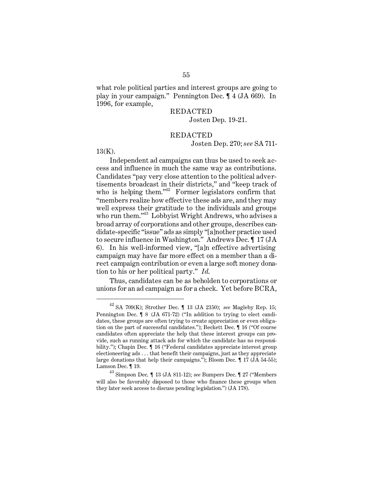what role political parties and interest groups are going to play in your campaign." Pennington Dec. ¶ 4 (JA 669). In 1996, for example,

# REDACTED Josten Dep. 19-21.

## REDACTED

Josten Dep. 270; *see* SA 711-

13(K).

Independent ad campaigns can thus be used to seek access and influence in much the same way as contributions. Candidates "pay very close attention to the political advertisements broadcast in their districts," and "keep track of who is helping them." $\frac{1}{2}$  Former legislators confirm that "members realize how effective these ads are, and they may well express their gratitude to the individuals and groups who run them."<sup>43</sup> Lobbyist Wright Andrews, who advises a broad array of corporations and other groups, describes candidate-specific "issue" ads as simply "[a]nother practice used to secure influence in Washington." Andrews Dec. ¶ 17 (JA 6). In his well-informed view, "[a]n effective advertising campaign may have far more effect on a member than a direct campaign contribution or even a large soft money donation to his or her political party." *Id*.

Thus, candidates can be as beholden to corporations or unions for an ad campaign as for a check. Yet before BCRA,

 $^{42}$  SA 709(K); Strother Dec.  $\P$  13 (JA 2150);  $see$  Magleby Rep. 15; Pennington Dec. ¶ 8 (JA 671-72) ("In addition to trying to elect candidates, these groups are often trying to create appreciation or even obligation on the part of successful candidates."); Beckett Dec. ¶ 16 ("Of course candidates often appreciate the help that these interest groups can provide, such as running attack ads for which the candidate has no responsibility."); Chapin Dec.  $\llbracket$  16 ("Federal candidates appreciate interest group electioneering ads . . . that benefit their campaigns, just as they appreciate large donations that help their campaigns."); Bloom Dec. ¶ 17 (JA 54-55); Lamson Dec. ¶ 19.

<sup>43</sup> Simpson Dec. ¶ 13 (JA 811-12); *see* Bumpers Dec. ¶ 27 ("Members will also be favorably disposed to those who finance these groups when they later seek access to discuss pending legislation.") (JA 178).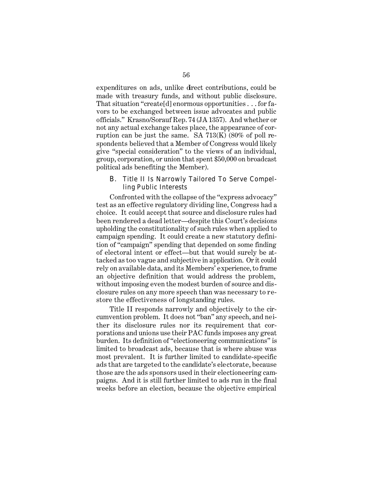expenditures on ads, unlike direct contributions, could be made with treasury funds, and without public disclosure. That situation "create[d] enormous opportunities . . . for favors to be exchanged between issue advocates and public officials." Krasno/Sorauf Rep. 74 (JA 1357). And whether or not any actual exchange takes place, the appearance of corruption can be just the same. SA  $713(K)$  (80% of poll respondents believed that a Member of Congress would likely give "special consideration" to the views of an individual, group, corporation, or union that spent \$50,000 on broadcast political ads benefiting the Member).

# B. Title II Is Narrowly Tailored To Serve Compelling Public Interests

Confronted with the collapse of the "express advocacy" test as an effective regulatory dividing line, Congress had a choice. It could accept that source and disclosure rules had been rendered a dead letter—despite this Court's decisions upholding the constitutionality of such rules when applied to campaign spending. It could create a new statutory definition of "campaign" spending that depended on some finding of electoral intent or effect—but that would surely be attacked as too vague and subjective in application. Or it could rely on available data, and its Members' experience, to frame an objective definition that would address the problem, without imposing even the modest burden of source and disclosure rules on any more speech than was necessary to restore the effectiveness of longstanding rules.

Title II responds narrowly and objectively to the circumvention problem. It does not "ban" any speech, and neither its disclosure rules nor its requirement that corporations and unions use their PAC funds imposes any great burden. Its definition of "electioneering communications" is limited to broadcast ads, because that is where abuse was most prevalent. It is further limited to candidate-specific ads that are targeted to the candidate's electorate, because those are the ads sponsors used in their electioneering campaigns. And it is still further limited to ads run in the final weeks before an election, because the objective empirical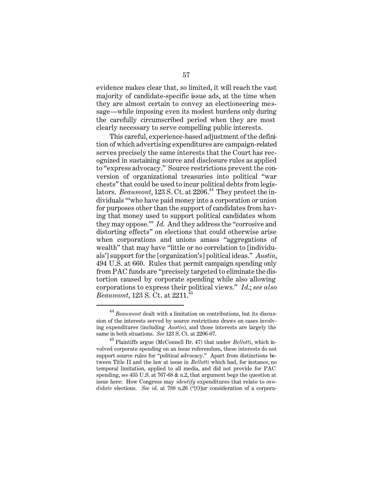evidence makes clear that, so limited, it will reach the vast majority of candidate-specific issue ads, at the time when they are almost certain to convey an electioneering message—while imposing even its modest burdens only during the carefully circumscribed period when they are most clearly necessary to serve compelling public interests.

This careful, experience-based adjustment of the definition of which advertising expenditures are campaign-related serves precisely the same interests that the Court has recognized in sustaining source and disclosure rules as applied to "express advocacy." Source restrictions prevent the conversion of organizational treasuries into political "war chests" that could be used to incur political debts from legislators. *Beaumont*,  $123 S$ . Ct. at  $2206$ <sup>44</sup> They protect the individuals "'who have paid money into a corporation or union for purposes other than the support of candidates from having that money used to support political candidates whom they may oppose.'" *Id*. And they address the "corrosive and distorting effects" on elections that could otherwise arise when corporations and unions amass "aggregations of wealth" that may have "little or no correlation to [individuals'] support for the [organization's] political ideas." *Austin*, 494 U.S. at 660. Rules that permit campaign spending only from PAC funds are "precisely targeted to eliminate the distortion caused by corporate spending while also allowing corporations to express their political views." *Id*.; *see also Beaumont*, 123 S. Ct. at 2211.<sup>45</sup>

 $^\mathrm{44}$  *Beaumont* dealt with a limitation on contributions, but its discussion of the interests served by source restrictions draws on cases involving expenditures (including *Austin*), and those interests are largely the same in both situations. *See* 123 S. Ct. at 2206-07.

<sup>45</sup> Plaintiffs argue (McConnell Br. 47) that under *Bellotti*, which involved corporate spending on an issue referendum, these interests do not support source rules for "political advocacy." Apart from distinctions between Title II and the law at issue in *Bellotti* which had, for instance, no temporal limitation, applied to all media, and did not provide for PAC spending, *see* 435 U.S. at 767-68 & n.2, that argument begs the question at issue here: How Congress may *identify* expenditures that relate to *candidate* elections. *See id*. at 788 n.26 ("[O]ur consideration of a corpora-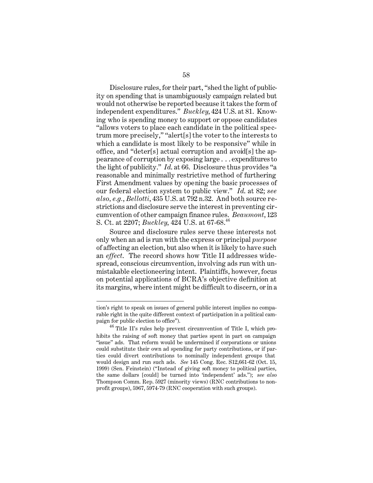Disclosure rules, for their part, "shed the light of publicity on spending that is unambiguously campaign related but would not otherwise be reported because it takes the form of independent expenditures." *Buckley*, 424 U.S. at 81. Knowing who is spending money to support or oppose candidates "allows voters to place each candidate in the political spectrum more precisely," "alert[s] the voter to the interests to which a candidate is most likely to be responsive" while in office, and "deter[s] actual corruption and avoid[s] the appearance of corruption by exposing large . . . expenditures to the light of publicity." *Id*. at 66. Disclosure thus provides "a reasonable and minimally restrictive method of furthering First Amendment values by opening the basic processes of our federal election system to public view." *Id*. at 82; *see also, e.g.*, *Bellotti*, 435 U.S. at 792 n.32. And both source restrictions and disclosure serve the interest in preventing circumvention of other campaign finance rules. *Beaumont*, 123 S. Ct. at 2207; *Buckley*, 424 U.S. at 67-68.<sup>46</sup>

Source and disclosure rules serve these interests not only when an ad is run with the express or principal *purpose*  of affecting an election, but also when it is likely to have such an *effect*. The record shows how Title II addresses widespread, conscious circumvention, involving ads run with unmistakable electioneering intent. Plaintiffs, however, focus on potential applications of BCRA's objective definition at its margins, where intent might be difficult to discern, or in a

tion's right to speak on issues of general public interest implies no comparable right in the quite different context of participation in a political campaign for public election to office").

<sup>46</sup> Title II's rules help prevent circumvention of Title I, which prohibits the raising of soft money that parties spent in part on campaign "issue" ads. That reform would be undermined if corporations or unions could substitute their own ad spending for party contributions, or if parties could divert contributions to nominally independent groups that would design and run such ads. *See* 145 Cong. Rec. S12,661-62 (Oct. 15, 1999) (Sen. Feinstein) ("Instead of giving soft money to political parties, the same dollars [could] be turned into 'independent' ads."); *see also*  Thompson Comm. Rep. 5927 (minority views) (RNC contributions to nonprofit groups), 5967, 5974-79 (RNC cooperation with such groups).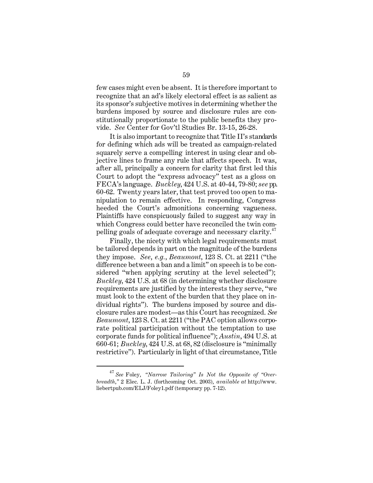few cases might even be absent. It is therefore important to recognize that an ad's likely electoral effect is as salient as its sponsor's subjective motives in determining whether the burdens imposed by source and disclosure rules are constitutionally proportionate to the public benefits they provide. *See* Center for Gov'tl Studies Br. 13-15, 26-28.

It is also important to recognize that Title II's standards for defining which ads will be treated as campaign-related squarely serve a compelling interest in using clear and objective lines to frame any rule that affects speech. It was, after all, principally a concern for clarity that first led this Court to adopt the "express advocacy" test as a gloss on FECA's language. *Buckley*, 424 U.S. at 40-44, 79-80; *see* pp. 60-62. Twenty years later, that test proved too open to manipulation to remain effective. In responding, Congress heeded the Court's admonitions concerning vagueness. Plaintiffs have conspicuously failed to suggest any way in which Congress could better have reconciled the twin compelling goals of adequate coverage and necessary clarity.<sup>47</sup>

Finally, the nicety with which legal requirements must be tailored depends in part on the magnitude of the burdens they impose. *See*, *e.g.*, *Beaumont*, 123 S. Ct. at 2211 ("the difference between a ban and a limit" on speech is to be considered "when applying scrutiny at the level selected"); *Buckley*, 424 U.S. at 68 (in determining whether disclosure requirements are justified by the interests they serve, "we must look to the extent of the burden that they place on individual rights"). The burdens imposed by source and disclosure rules are modest—as this Court has recognized. *See Beaumont*, 123 S. Ct. at 2211 ("the PAC option allows corporate political participation without the temptation to use corporate funds for political influence"); *Austin*, 494 U.S. at 660-61; *Buckley*, 424 U.S. at 68, 82 (disclosure is "minimally restrictive"). Particularly in light of that circumstance, Title

<sup>47</sup>*See* Foley, *"Narrow Tailoring" Is Not the Opposite of "Overbreadth*,*"* 2 Elec. L. J. (forthcoming Oct. 2003), *available at* http://www. liebertpub.com/ELJ/Foley1.pdf (temporary pp. 7-12).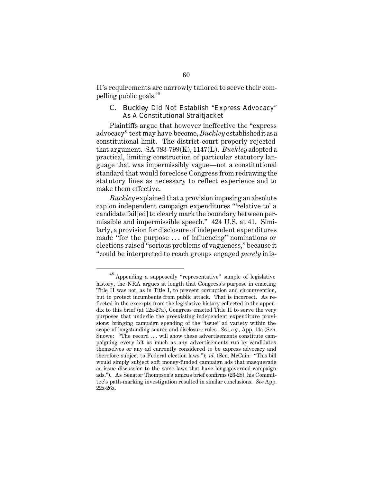II's requirements are narrowly tailored to serve their compelling public goals.48

# C. *Buckley* Did Not Establish "Express Advocacy" As A Constitutional Straitjacket

Plaintiffs argue that however ineffective the "express advocacy" test may have become, *Buckley* established it as a constitutional limit. The district court properly rejected that argument. SA 783-799(K), 1147(L). *Buckley* adopted a practical, limiting construction of particular statutory language that was impermissibly vague—not a constitutional standard that would foreclose Congress from redrawing the statutory lines as necessary to reflect experience and to make them effective.

*Buckley* explained that a provision imposing an absolute cap on independent campaign expenditures "'relative to' a candidate fail[ed] to clearly mark the boundary between permissible and impermissible speech." 424 U.S. at 41. Similarly, a provision for disclosure of independent expenditures made "for the purpose . . . of influencing" nominations or elections raised "serious problems of vagueness," because it "could be interpreted to reach groups engaged *purely* in is-

<sup>48</sup> Appending a supposedly "representative" sample of legislative history, the NRA argues at length that Congress's purpose in enacting Title II was not, as in Title I, to prevent corruption and circumvention, but to protect incumbents from public attack. That is incorrect. As reflected in the excerpts from the legislative history collected in the appendix to this brief (at 12a-27a), Congress enacted Title II to serve the very purposes that underlie the preexisting independent expenditure provisions: bringing campaign spending of the "issue" ad variety within the scope of longstanding source and disclosure rules. *See, e.g.*, App. 14a (Sen. Snowe: "The record .. . will show these advertisements constitute campaigning every bit as much as any advertisements run by candidates themselves or any ad currently considered to be express advocacy and therefore subject to Federal election laws."); *id.* (Sen. McCain: "This bill would simply subject soft money-funded campaign ads that masquerade as issue discussion to the same laws that have long governed campaign ads."). As Senator Thompson's amicus brief confirms (26-28), his Committee's path-marking investigation resulted in similar conclusions. *See* App. 22a-26a.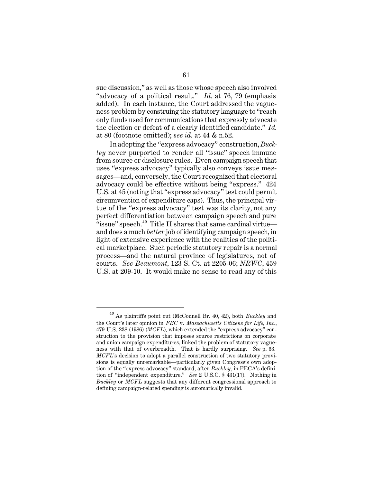sue discussion," as well as those whose speech also involved "advocacy of a political result." *Id*. at 76, 79 (emphasis added). In each instance, the Court addressed the vagueness problem by construing the statutory language to "reach only funds used for communications that expressly advocate the election or defeat of a clearly identified candidate." *Id*. at 80 (footnote omitted); *see id*. at 44 & n.52.

In adopting the "express advocacy" construction, *Buckley* never purported to render all "issue" speech immune from source or disclosure rules. Even campaign speech that uses "express advocacy" typically also conveys issue messages—and, conversely, the Court recognized that electoral advocacy could be effective without being "express." 424 U.S. at 45 (noting that "express advocacy" test could permit circumvention of expenditure caps). Thus, the principal virtue of the "express advocacy" test was its clarity, not any perfect differentiation between campaign speech and pure "issue" speech. $49$  Title II shares that same cardinal virtue and does a much *better* job of identifying campaign speech, in light of extensive experience with the realities of the political marketplace. Such periodic statutory repair is a normal process—and the natural province of legislatures, not of courts. *See Beaumont*, 123 S. Ct. at 2205-06; *NRWC*, 459 U.S. at 209-10. It would make no sense to read any of this

<sup>49</sup> As plaintiffs point out (McConnell Br. 40, 42), both *Buckley* and the Court's later opinion in *FEC* v. *Massachusetts Citizens for Life, Inc.*, 479 U.S. 238 (1986) (*MCFL*), which extended the "express advocacy" construction to the provision that imposes source restrictions on corporate and union campaign expenditures, linked the problem of statutory vagueness with that of overbreadth. That is hardly surprising. *See* p. 63. *MCFL*'s decision to adopt a parallel construction of two statutory provisions is equally unremarkable—particularly given Congress's own adoption of the "express advocacy" standard, after *Buckley*, in FECA's definition of "independent expenditure." *See* 2 U.S.C. § 431(17). Nothing in *Buckley* or *MCFL* suggests that any different congressional approach to defining campaign-related spending is automatically invalid.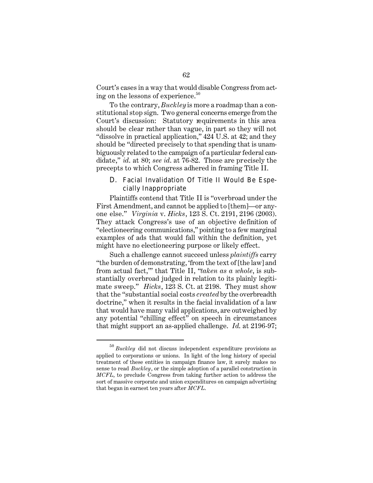Court's cases in a way that would disable Congress from acting on the lessons of experience. $50$ 

To the contrary, *Buckley* is more a roadmap than a constitutional stop sign. Two general concerns emerge from the Court's discussion: Statutory requirements in this area should be clear rather than vague, in part so they will not "dissolve in practical application," 424 U.S. at 42; and they should be "directed precisely to that spending that is unambiguously related to the campaign of a particular federal candidate," *id*. at 80; *see id*. at 76-82. Those are precisely the precepts to which Congress adhered in framing Title II.

# D. Facial Invalidation Of Title II Would Be Especially Inappropriate

Plaintiffs contend that Title II is "overbroad under the First Amendment, and cannot be applied to [them]—or anyone else." *Virginia* v. *Hicks*, 123 S. Ct. 2191, 2196 (2003). They attack Congress's use of an objective definition of "electioneering communications," pointing to a few marginal examples of ads that would fall within the definition, yet might have no electioneering purpose or likely effect.

Such a challenge cannot succeed unless *plaintiffs* carry "the burden of demonstrating, 'from the text of [the law] and from actual fact,'" that Title II, "*taken as a whole*, is substantially overbroad judged in relation to its plainly legitimate sweep." *Hicks*, 123 S. Ct. at 2198. They must show that the "substantial social costs *created* by the overbreadth doctrine," when it results in the facial invalidation of a law that would have many valid applications, are outweighed by any potential "chilling effect" on speech in circumstances that might support an as-applied challenge. *Id*. at 2196-97;

<sup>50</sup>*Buckley* did not discuss independent expenditure provisions as applied to corporations or unions. In light of the long history of special treatment of these entities in campaign finance law, it surely makes no sense to read *Buckley* , or the simple adoption of a parallel construction in *MCFL*, to preclude Congress from taking further action to address the sort of massive corporate and union expenditures on campaign advertising that began in earnest ten years after *MCFL*.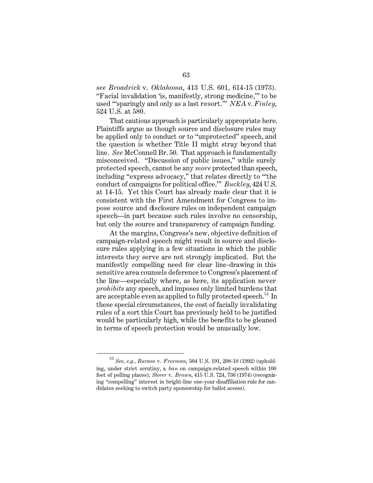*see Broadrick* v. *Oklahoma*, 413 U.S. 601, 614-15 (1973). "Facial invalidation 'is, manifestly, strong medicine,'" to be used "'sparingly and only as a last resort.'" *NEA* v*. Finley*, 524 U.S. at 580.

That cautious approach is particularly appropriate here. Plaintiffs argue as though source and disclosure rules may be applied only to conduct or to "unprotected" speech, and the question is whether Title II might stray beyond that line. *See* McConnell Br. 50. That approach is fundamentally misconceived. "Discussion of public issues," while surely protected speech, cannot be any *more* protected than speech, including "express advocacy," that relates directly to "'the conduct of campaigns for political office.'" *Buckley*, 424 U.S. at 14-15. Yet this Court has already made clear that it is consistent with the First Amendment for Congress to impose source and disclosure rules on independent campaign speech—in part because such rules involve no censorship, but only the source and transparency of campaign funding.

At the margins, Congress's new, objective definition of campaign-related speech might result in source and disclosure rules applying in a few situations in which the public interests they serve are not strongly implicated. But the manifestly compelling need for clear line-drawing in this sensitive area counsels deference to Congress's placement of the line—especially where, as here, its application never *prohibits* any speech, and imposes only limited burdens that are acceptable even as applied to fully protected speech.<sup>51</sup> In these special circumstances, the cost of facially invalidating rules of a sort this Court has previously held to be justified would be particularly high, while the benefits to be gleaned in terms of speech protection would be unusually low.

<sup>51</sup>*See, e.g.*, *Burson* v. *Freeman*, 504 U.S. 191, 208-10 (1992) (upholding, under strict scrutiny, a *ban* on campaign-related speech within 100 feet of polling places); *Storer* v. *Brown*, 415 U.S. 724, 736 (1974) (recognizing "compelling" interest in bright-line one-year disaffiliation rule for candidates seeking to switch party sponsorship for ballot access).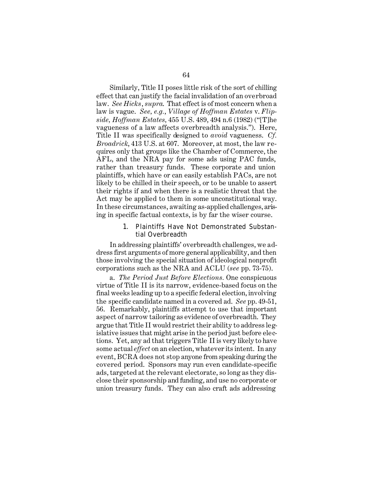Similarly, Title II poses little risk of the sort of chilling effect that can justify the facial invalidation of an overbroad law. *See Hicks*, *supra*. That effect is of most concern when a law is vague. *See, e.g.*, *Village of Hoffman Estates* v. *Flipside, Hoffman Estates,* 455 U.S. 489, 494 n.6 (1982) ("[T]he vagueness of a law affects overbreadth analysis."). Here, Title II was specifically designed to *avoid* vagueness. *Cf. Broadrick*, 413 U.S. at 607. Moreover, at most, the law requires only that groups like the Chamber of Commerce, the AFL, and the NRA pay for some ads using PAC funds, rather than treasury funds. These corporate and union plaintiffs, which have or can easily establish PACs, are not likely to be chilled in their speech, or to be unable to assert their rights if and when there is a realistic threat that the Act may be applied to them in some unconstitutional way. In these circumstances, awaiting as-applied challenges, arising in specific factual contexts, is by far the wiser course.

## 1. Plaintiffs Have Not Demonstrated Substantial Overbreadth

In addressing plaintiffs' overbreadth challenges, we address first arguments of more general applicability, and then those involving the special situation of ideological nonprofit corporations such as the NRA and ACLU (*see* pp. 73-75).

a. *The Period Just Before Elections.* One conspicuous virtue of Title II is its narrow, evidence-based focus on the final weeks leading up to a specific federal election, involving the specific candidate named in a covered ad. *See* pp. 49-51, 56. Remarkably, plaintiffs attempt to use that important aspect of narrow tailoring as evidence of overbreadth. They argue that Title II would restrict their ability to address legislative issues that might arise in the period just before elections. Yet, any ad that triggers Title II is very likely to have some actual *effect* on an election, whatever its intent. In any event, BCRA does not stop anyone from speaking during the covered period. Sponsors may run even candidate-specific ads, targeted at the relevant electorate, so long as they disclose their sponsorship and funding, and use no corporate or union treasury funds. They can also craft ads addressing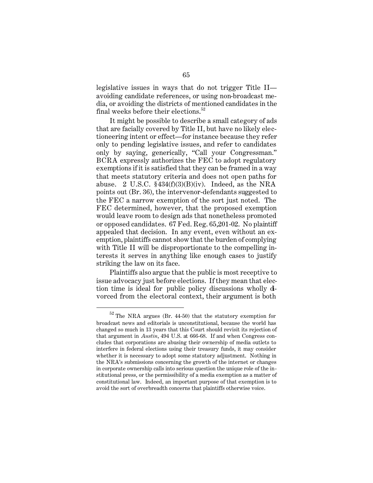legislative issues in ways that do not trigger Title II avoiding candidate references, or using non-broadcast media, or avoiding the districts of mentioned candidates in the final weeks before their elections. $52$ 

It might be possible to describe a small category of ads that are facially covered by Title II, but have no likely electioneering intent or effect—for instance because they refer only to pending legislative issues, and refer to candidates only by saying, generically, "Call your Congressman." BCRA expressly authorizes the FEC to adopt regulatory exemptions if it is satisfied that they can be framed in a way that meets statutory criteria and does not open paths for abuse. 2 U.S.C.  $$434(f)(3)(B)(iv)$ . Indeed, as the NRA points out (Br. 36), the intervenor-defendants suggested to the FEC a narrow exemption of the sort just noted. The FEC determined, however, that the proposed exemption would leave room to design ads that nonetheless promoted or opposed candidates. 67 Fed. Reg. 65,201-02. No plaintiff appealed that decision. In any event, even without an exemption, plaintiffs cannot show that the burden of complying with Title II will be disproportionate to the compelling interests it serves in anything like enough cases to justify striking the law on its face.

Plaintiffs also argue that the public is most receptive to issue advocacy just before elections. If they mean that election time is ideal for public policy discussions wholly divorced from the electoral context, their argument is both

 $52$  The NRA argues (Br. 44-50) that the statutory exemption for broadcast news and editorials is unconstitutional, because the world has changed so much in 13 years that this Court should revisit its rejection of that argument in *Austin*, 494 U.S. at 666-68. If and when Congress concludes that corporations are abusing their ownership of media outlets to interfere in federal elections using their treasury funds, it may consider whether it is necessary to adopt some statutory adjustment. Nothing in the NRA's submissions concerning the growth of the internet or changes in corporate ownership calls into serious question the unique role of the institutional press, or the permissibility of a media exemption as a matter of constitutional law. Indeed, an important purpose of that exemption is to avoid the sort of overbreadth concerns that plaintiffs otherwise voice.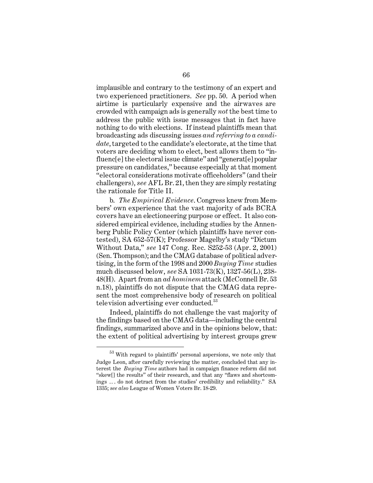implausible and contrary to the testimony of an expert and two experienced practitioners. *See* pp. 50. A period when airtime is particularly expensive and the airwaves are crowded with campaign ads is generally *not* the best time to address the public with issue messages that in fact have nothing to do with elections. If instead plaintiffs mean that broadcasting ads discussing issues *and referring to a candidate*, targeted to the candidate's electorate, at the time that voters are deciding whom to elect, best allows them to "influenc[e] the electoral issue climate" and "generat[e] popular pressure on candidates," because especially at that moment "electoral considerations motivate officeholders" (and their challengers), *see* AFL Br. 21, then they are simply restating the rationale for Title II.

b. *The Empirical Evidence*. Congress knew from Members' own experience that the vast majority of ads BCRA covers have an electioneering purpose or effect. It also considered empirical evidence, including studies by the Annenberg Public Policy Center (which plaintiffs have never contested), SA 652-57(K); Professor Magelby's study "Dictum Without Data," *see* 147 Cong. Rec. S252-53 (Apr. 2, 2001) (Sen. Thompson); and the CMAG database of political advertising, in the form of the 1998 and 2000 *Buying Time* studies much discussed below, *see* SA 1031-73(K), 1327-56(L), 238- 48(H). Apart from an *ad hominem* attack (McConnell Br. 53 n.18), plaintiffs do not dispute that the CMAG data represent the most comprehensive body of research on political television advertising ever conducted.<sup>53</sup>

Indeed, plaintiffs do not challenge the vast majority of the findings based on the CMAG data—including the central findings, summarized above and in the opinions below, that: the extent of political advertising by interest groups grew

 $^{\rm 53}$  With regard to plaintiffs' personal aspersions, we note only that Judge Leon, after carefully reviewing the matter, concluded that any interest the *Buying Time* authors had in campaign finance reform did not "skew[] the results" of their research, and that any "flaws and shortcomings .. . do not detract from the studies' credibility and reliability." SA 1335; *see also* League of Women Voters Br. 18-29.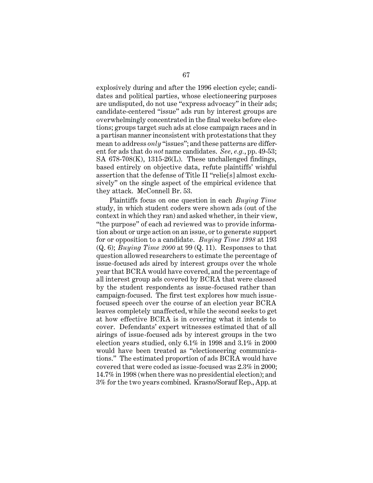explosively during and after the 1996 election cycle; candidates and political parties, whose electioneering purposes are undisputed, do not use "express advocacy" in their ads; candidate-centered "issue" ads run by interest groups are overwhelmingly concentrated in the final weeks before elections; groups target such ads at close campaign races and in a partisan manner inconsistent with protestations that they mean to address *only* "issues"; and these patterns are different for ads that do *not* name candidates. *See, e.g.*, pp. 49-53; SA  $678-708(K)$ ,  $1315-26(L)$ . These unchallenged findings, based entirely on objective data, refute plaintiffs' wishful assertion that the defense of Title II "relie[s] almost exclusively" on the single aspect of the empirical evidence that they attack. McConnell Br. 53.

Plaintiffs focus on one question in each *Buying Time*  study, in which student coders were shown ads (out of the context in which they ran) and asked whether, in their view, "the purpose" of each ad reviewed was to provide information about or urge action on an issue, or to generate support for or opposition to a candidate. *Buying Time 1998* at 193 (Q. 6); *Buying Time 2000* at 99 (Q. 11). Responses to that question allowed researchers to estimate the percentage of issue-focused ads aired by interest groups over the whole year that BCRA would have covered, and the percentage of all interest group ads covered by BCRA that were classed by the student respondents as issue-focused rather than campaign-focused. The first test explores how much issuefocused speech over the course of an election year BCRA leaves completely unaffected, while the second seeks to get at how effective BCRA is in covering what it intends to cover. Defendants' expert witnesses estimated that of all airings of issue-focused ads by interest groups in the two election years studied, only 6.1% in 1998 and 3.1% in 2000 would have been treated as "electioneering communications." The estimated proportion of ads BCRA would have covered that were coded as issue-focused was 2.3% in 2000; 14.7% in 1998 (when there was no presidential election); and 3% for the two years combined. Krasno/Sorauf Rep., App. at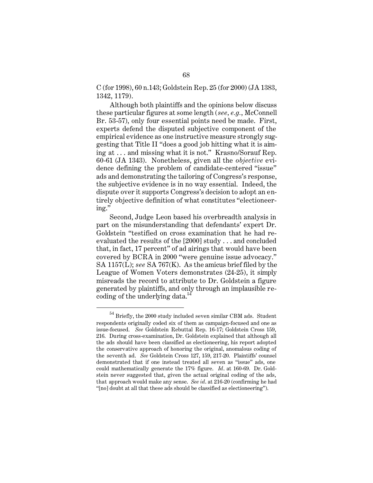C (for 1998), 60 n.143; Goldstein Rep. 25 (for 2000) (JA 1383, 1342, 1179).

Although both plaintiffs and the opinions below discuss these particular figures at some length (*see, e.g.*, McConnell Br. 53-57), only four essential points need be made. First, experts defend the disputed subjective component of the empirical evidence as one instructive measure strongly suggesting that Title II "does a good job hitting what it is aiming at . . . and missing what it is not." Krasno/Sorauf Rep. 60-61 (JA 1343). Nonetheless, given all the *objective* evidence defining the problem of candidate-centered "issue" ads and demonstrating the tailoring of Congress's response, the subjective evidence is in no way essential. Indeed, the dispute over it supports Congress's decision to adopt an entirely objective definition of what constitutes "electioneering."

Second, Judge Leon based his overbreadth analysis in part on the misunderstanding that defendants' expert Dr. Goldstein "testified on cross examination that he had reevaluated the results of the [2000] study . . . and concluded that, in fact, 17 percent" of ad airings that would have been covered by BCRA in 2000 "were genuine issue advocacy." SA 1157(L); *see* SA 767(K). As the amicus brief filed by the League of Women Voters demonstrates (24-25), it simply misreads the record to attribute to Dr. Goldstein a figure generated by plaintiffs, and only through an implausible recoding of the underlying data.<sup>54</sup>

 $^{54}$  Briefly, the 2000 study included seven similar CBM ads. Student respondents originally coded six of them as campaign-focused and one as issue-focused. *See* Goldstein Rebuttal Rep. 16-17; Goldstein Cross 159, 216. During cross-examination, Dr. Goldstein explained that although all the ads should have been classified as electioneering, his report adopted the conservative approach of honoring the original, anomalous coding of the seventh ad. *See* Goldstein Cross 127, 159, 217-20. Plaintiffs' counsel demonstrated that if one instead treated all seven as "issue" ads, one could mathematically generate the 17% figure. *Id*. at 160-69. Dr. Goldstein never suggested that, given the actual original coding of the ads, that approach would make any sense. *See id*. at 216-20 (confirming he had "[no] doubt at all that these ads should be classified as electioneering").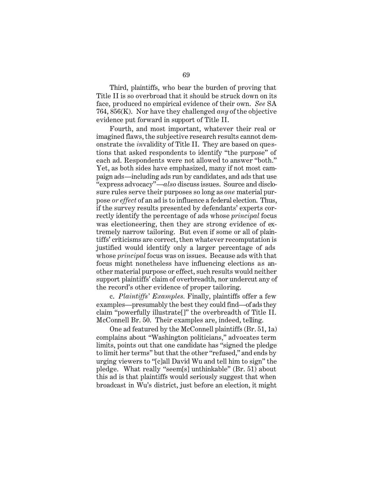Third, plaintiffs, who bear the burden of proving that Title II is so overbroad that it should be struck down on its face, produced no empirical evidence of their own. *See* SA 764, 856(K). Nor have they challenged *any* of the objective evidence put forward in support of Title II.

Fourth, and most important, whatever their real or imagined flaws, the subjective research results cannot demonstrate the *in*validity of Title II. They are based on questions that asked respondents to identify "the purpose" of each ad. Respondents were not allowed to answer "both." Yet, as both sides have emphasized, many if not most campaign ads—including ads run by candidates, and ads that use "express advocacy"—*also* discuss issues. Source and disclosure rules serve their purposes so long as *one* material purpose *or effect* of an ad is to influence a federal election. Thus, if the survey results presented by defendants' experts correctly identify the percentage of ads whose *principal* focus was electioneering, then they are strong evidence of extremely narrow tailoring. But even if some or all of plaintiffs' criticisms are correct, then whatever recomputation is justified would identify only a larger percentage of ads whose *principal* focus was on issues. Because ads with that focus might nonetheless have influencing elections as another material purpose or effect, such results would neither support plaintiffs' claim of overbreadth, nor undercut any of the record's other evidence of proper tailoring.

c. *Plaintiffs' Examples.* Finally, plaintiffs offer a few examples—presumably the best they could find—of ads they claim "powerfully illustrate[]" the overbreadth of Title II. McConnell Br. 50. Their examples are, indeed, telling.

One ad featured by the McConnell plaintiffs (Br. 51, 1a) complains about "Washington politicians," advocates term limits, points out that one candidate has "signed the pledge to limit her terms" but that the other "refused," and ends by urging viewers to "[c]all David Wu and tell him to sign" the pledge. What really "seem[s] unthinkable" (Br. 51) about this ad is that plaintiffs would seriously suggest that when broadcast in Wu's district, just before an election, it might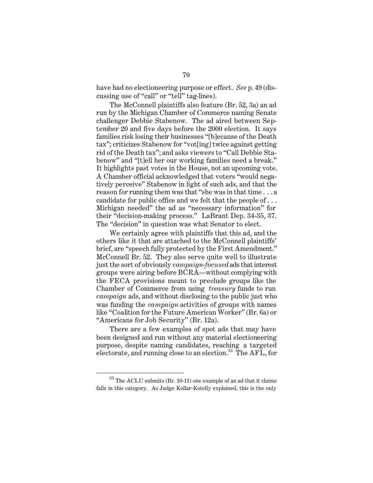have had no electioneering purpose or effect. *See* p. 49 (discussing use of "call" or "tell" tag-lines).

The McConnell plaintiffs also feature (Br. 52, 3a) an ad run by the Michigan Chamber of Commerce naming Senate challenger Debbie Stabenow. The ad aired between September 20 and five days before the 2000 election. It says families risk losing their businesses "[b]ecause of the Death tax"; criticizes Stabenow for "vot[ing] twice against getting rid of the Death tax"; and asks viewers to "Call Debbie Stabenow" and "[t]ell her our working families need a break." It highlights past votes in the House, not an upcoming vote. A Chamber official acknowledged that voters "would negatively perceive" Stabenow in light of such ads, and that the reason for running them was that "she was in that time . . . a candidate for public office and we felt that the people of . . . Michigan needed" the ad as "necessary information" for their "decision-making process." LaBrant Dep. 34-35, 37. The "decision" in question was what Senator to elect.

We certainly agree with plaintiffs that this ad, and the others like it that are attached to the McConnell plaintiffs' brief, are "speech fully protected by the First Amendment." McConnell Br. 52. They also serve quite well to illustrate just the sort of obviously *campaign-focused* ads that interest groups were airing before BCRA—without complying with the FECA provisions meant to preclude groups like the Chamber of Commerce from using *treasury* funds to run *campaign* ads, and without disclosing to the public just who was funding the *campaign* activities of groups with names like "Coalition for the Future American Worker" (Br. 6a) or "Americans for Job Security" (Br. 12a).

There are a few examples of spot ads that may have been designed and run without any material electioneering purpose, despite naming candidates, reaching a targeted electorate, and running close to an election.<sup>55</sup> The AFL, for

 $^{55}$  The ACLU submits (Br. 10-11) one example of an ad that it claims falls in this category. As Judge Kollar-Kotelly explained, this is the only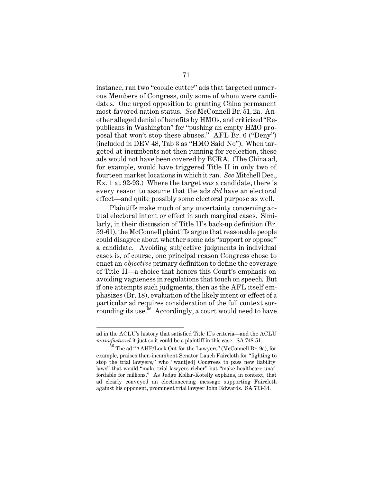instance, ran two "cookie cutter" ads that targeted numerous Members of Congress, only some of whom were candidates. One urged opposition to granting China permanent most-favored-nation status. *See* McConnell Br. 51, 2a. Another alleged denial of benefits by HMOs, and criticized "Republicans in Washington" for "pushing an empty HMO proposal that won't stop these abuses." AFL Br. 6 ("Deny") (included in DEV 48, Tab 3 as "HMO Said No"). When targeted at incumbents not then running for reelection, these ads would not have been covered by BCRA. (The China ad, for example, would have triggered Title II in only two of fourteen market locations in which it ran. *See* Mitchell Dec., Ex. 1 at 92-93.) Where the target *was* a candidate, there is every reason to assume that the ads *did* have an electoral effect—and quite possibly some electoral purpose as well.

Plaintiffs make much of any uncertainty concerning actual electoral intent or effect in such marginal cases. Similarly, in their discussion of Title II's back-up definition (Br. 59-61), the McConnell plaintiffs argue that reasonable people could disagree about whether some ads "support or oppose" a candidate. Avoiding subjective judgments in individual cases is, of course, one principal reason Congress chose to enact an *objective* primary definition to define the coverage of Title II—a choice that honors this Court's emphasis on avoiding vagueness in regulations that touch on speech. But if one attempts such judgments, then as the AFL itself emphasizes (Br. 18), evaluation of the likely intent or effect of a particular ad requires consideration of the full context surrounding its use.<sup>56</sup> Accordingly, a court would need to have

ad in the ACLU's history that satisfied Title II's criteria—and the ACLU *manufactured* it just so it could be a plaintiff in this case. SA 748-51.

<sup>56</sup> The ad "AAHP/Look Out for the Lawyers" (McConnell Br. 9a), for example, praises then-incumbent Senator Lauch Faircloth for "fighting to stop the trial lawyers," who "want[ed] Congress to pass new liability laws" that would "make trial lawyers richer" but "make healthcare unaffordable for millions." As Judge Kollar-Kotelly explains, in context, that ad clearly conveyed an electioneering message supporting Faircloth against his opponent, prominent trial lawyer John Edwards. SA 733-34.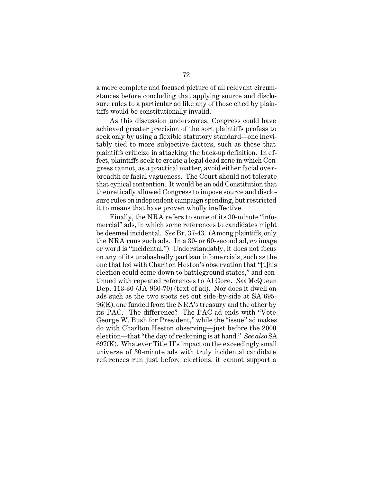a more complete and focused picture of all relevant circumstances before concluding that applying source and disclosure rules to a particular ad like any of those cited by plaintiffs would be constitutionally invalid.

As this discussion underscores, Congress could have achieved greater precision of the sort plaintiffs profess to seek only by using a flexible statutory standard—one inevitably tied to more subjective factors, such as those that plaintiffs criticize in attacking the back-up definition. In effect, plaintiffs seek to create a legal dead zone in which Congress cannot, as a practical matter, avoid either facial overbreadth or facial vagueness. The Court should not tolerate that cynical contention. It would be an odd Constitution that theoretically allowed Congress to impose source and disclosure rules on independent campaign spending, but restricted it to means that have proven wholly ineffective.

Finally, the NRA refers to some of its 30-minute "infomercial" ads, in which some references to candidates might be deemed incidental. *See* Br. 37-43. (Among plaintiffs, only the NRA runs such ads. In a 30- or 60-second ad, *no* image or word is "incidental.") Understandably, it does not focus on any of its unabashedly partisan infomercials, such as the one that led with Charlton Heston's observation that "[t]his election could come down to battleground states," and continued with repeated references to Al Gore. *See* McQueen Dep. 113-30 (JA 960-70) (text of ad). Nor does it dwell on ads such as the two spots set out side-by-side at SA 695- 96(K), one funded from the NRA's treasury and the other by its PAC. The difference? The PAC ad ends with "Vote George W. Bush for President," while the "issue" ad makes do with Charlton Heston observing—just before the 2000 election—that "the day of reckoning is at hand." *See also* SA 697(K). Whatever Title II's impact on the exceedingly small universe of 30-minute ads with truly incidental candidate references run just before elections, it cannot support a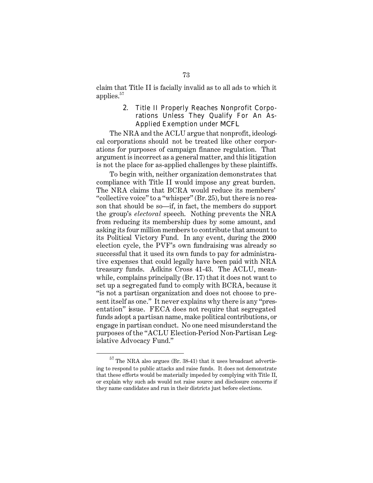claim that Title II is facially invalid as to all ads to which it applies. $57$ 

## 2. Title II Properly Reaches Nonprofit Corporations Unless They Qualify For An As-Applied Exemption under *MCFL*

The NRA and the ACLU argue that nonprofit, ideological corporations should not be treated like other corporations for purposes of campaign finance regulation. That argument is incorrect as a general matter, and this litigation is not the place for as-applied challenges by these plaintiffs.

To begin with, neither organization demonstrates that compliance with Title II would impose any great burden. The NRA claims that BCRA would reduce its members' "collective voice" to a "whisper" (Br. 25), but there is no reason that should be so—if, in fact, the members do support the group's *electoral* speech. Nothing prevents the NRA from reducing its membership dues by some amount, and asking its four million members to contribute that amount to its Political Victory Fund. In any event, during the 2000 election cycle, the PVF's own fundraising was already so successful that it used its own funds to pay for administrative expenses that could legally have been paid with NRA treasury funds. Adkins Cross 41-43. The ACLU, meanwhile, complains principally (Br. 17) that it does not want to set up a segregated fund to comply with BCRA, because it "is not a partisan organization and does not choose to present itself as one." It never explains why there is any "presentation" issue. FECA does not require that segregated funds adopt a partisan name, make political contributions, or engage in partisan conduct. No one need misunderstand the purposes of the "ACLU Election-Period Non-Partisan Legislative Advocacy Fund."

 $\rm ^{57}$  The NRA also argues (Br. 38-41) that it uses broadcast advertising to respond to public attacks and raise funds. It does not demonstrate that these efforts would be materially impeded by complying with Title II, or explain why such ads would not raise source and disclosure concerns if they name candidates and run in their districts just before elections.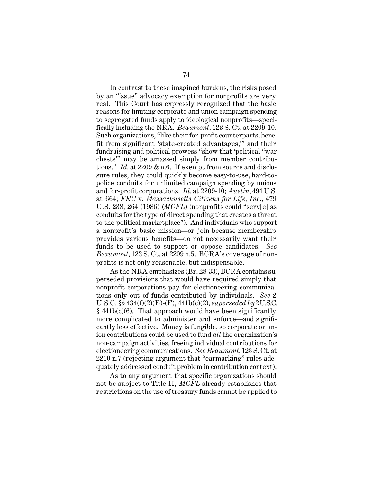In contrast to these imagined burdens, the risks posed by an "issue" advocacy exemption for nonprofits are very real. This Court has expressly recognized that the basic reasons for limiting corporate and union campaign spending to segregated funds apply to ideological nonprofits—specifically including the NRA. *Beaumont*, 123 S. Ct. at 2209-10. Such organizations, "like their for-profit counterparts, benefit from significant 'state-created advantages,'" and their fundraising and political prowess "show that 'political "war chests'" may be amassed simply from member contributions." *Id*. at 2209 & n.6. If exempt from source and disclosure rules, they could quickly become easy-to-use, hard-topolice conduits for unlimited campaign spending by unions and for-profit corporations. *Id*. at 2209-10; *Austin*, 494 U.S. at 664; *FEC* v. *Massachusetts Citizens for Life, Inc.*, 479 U.S. 238, 264 (1986) (*MCFL*) (nonprofits could "serv[e] as conduits for the type of direct spending that creates a threat to the political marketplace"). And individuals who support a nonprofit's basic mission—or join because membership provides various benefits—do not necessarily want their funds to be used to support or oppose candidates. *See Beaumont*, 123 S. Ct. at 2209 n.5. BCRA's coverage of nonprofits is not only reasonable, but indispensable.

As the NRA emphasizes (Br. 28-33), BCRA contains superseded provisions that would have required simply that nonprofit corporations pay for electioneering communications only out of funds contributed by individuals. *See* 2 U.S.C. §§ 434(f)(2)(E)-(F), 441b(c)(2), *superseded by* 2 U.S.C. § 441b(c)(6). That approach would have been significantly more complicated to administer and enforce—and significantly less effective. Money is fungible, so corporate or union contributions could be used to fund *all* the organization's non-campaign activities, freeing individual contributions for electioneering communications. *See Beaumont*, 123 S. Ct. at 2210 n.7 (rejecting argument that "earmarking" rules adequately addressed conduit problem in contribution context).

As to any argument that specific organizations should not be subject to Title II, *MCFL* already establishes that restrictions on the use of treasury funds cannot be applied to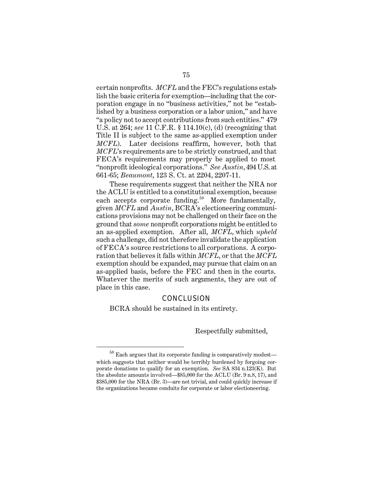certain nonprofits. *MCFL* and the FEC's regulations establish the basic criteria for exemption—including that the corporation engage in no "business activities," not be "established by a business corporation or a labor union," and have "a policy not to accept contributions from such entities." 479 U.S. at 264; *see* 11 C.F.R. § 114.10(c), (d) (recognizing that Title II is subject to the same as-applied exemption under *MCFL*). Later decisions reaffirm, however, both that *MCFL*'s requirements are to be strictly construed, and that FECA's requirements may properly be applied to most "nonprofit ideological corporations." *See Austin*, 494 U.S. at 661-65; *Beaumont*, 123 S. Ct. at 2204, 2207-11.

These requirements suggest that neither the NRA nor the ACLU is entitled to a constitutional exemption, because each accepts corporate funding.<sup>58</sup> More fundamentally, given *MCFL* and *Austin*, BCRA's electioneering communications provisions may not be challenged on their face on the ground that *some* nonprofit corporations might be entitled to an as-applied exemption. After all, *MCFL*, which *upheld*  such a challenge, did not therefore invalidate the application of FECA's source restrictions to all corporations. A corporation that believes it falls within *MCFL*, or that the *MCFL*  exemption should be expanded, may pursue that claim on an as-applied basis, before the FEC and then in the courts. Whatever the merits of such arguments, they are out of place in this case.

## **CONCLUSION**

BCRA should be sustained in its entirety.

Respectfully submitted,

 $^{58}$  Each argues that its corporate funding is comparatively modest—  $\,$ which suggests that neither would be terribly burdened by forgoing corporate donations to qualify for an exemption. *See* SA 834 n.123(K). But the absolute amounts involved—\$85,000 for the ACLU (Br. 9 n.8, 17), and \$385,000 for the NRA (Br. 3)—are not trivial, and could quickly increase if the organizations became conduits for corporate or labor electioneering.